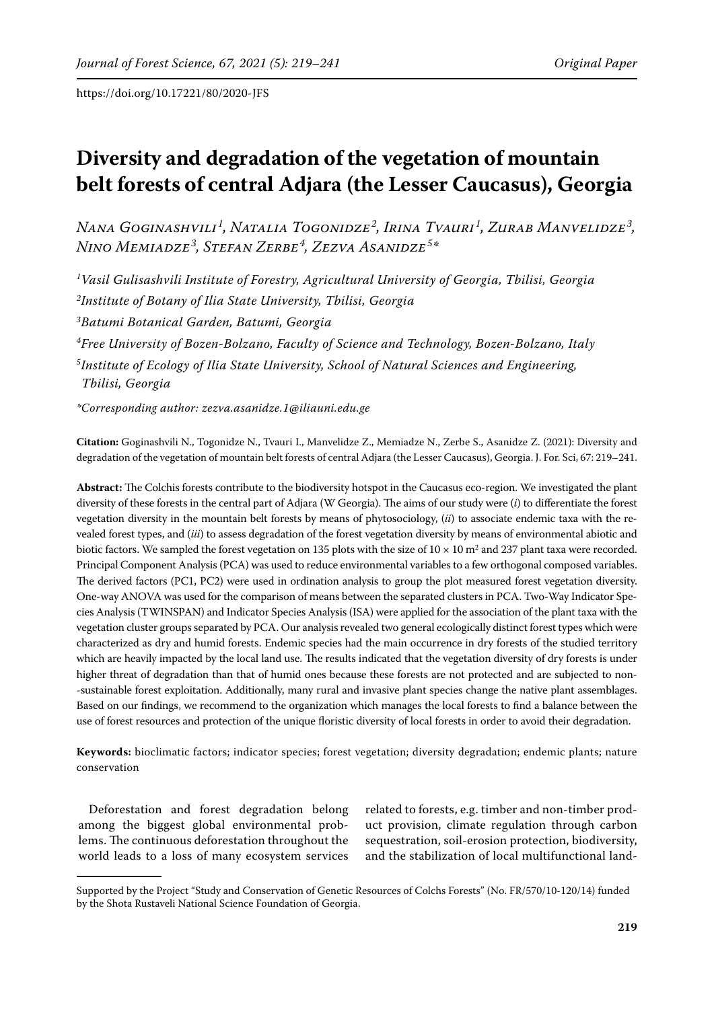# **Diversity and degradation of the vegetation of mountain belt forests of central Adjara (the Lesser Caucasus), Georgia**

*Nana Goginashvili<sup>1</sup> , Natalia Togonidze<sup>2</sup> , Irina Tvauri<sup>1</sup> , Zurab Manvelidze<sup>3</sup> , Nino Memiadze<sup>3</sup> , Stefan Zerbe<sup>4</sup> , Zezva Asanidze<sup>5</sup> \**

*1Vasil Gulisashvili Institute of Forestry, Agricultural University of Georgia, Tbilisi, Georgia 2Institute of Botany of Ilia State University, Tbilisi, Georgia 3Batumi Botanical Garden, Batumi, Georgia 4Free University of Bozen-Bolzano, Faculty of Science and Technology, Bozen-Bolzano, Italy 5Institute of Ecology of Ilia State University, School of Natural Sciences and Engineering, Tbilisi, Georgia* 

*\*Corresponding author: zezva.asanidze.1@iliauni.edu.ge*

**Citation:** Goginashvili N., Togonidze N., Tvauri I., Manvelidze Z., Memiadze N., Zerbe S., Asanidze Z. (2021): Diversity and degradation of the vegetation of mountain belt forests of central Adjara (the Lesser Caucasus), Georgia. J. For. Sci, 67: 219–241.

**Abstract:** The Colchis forests contribute to the biodiversity hotspot in the Caucasus eco-region. We investigated the plant diversity of these forests in the central part of Adjara (W Georgia). The aims of our study were (*i*) to differentiate the forest vegetation diversity in the mountain belt forests by means of phytosociology, (*ii*) to associate endemic taxa with the revealed forest types, and (*iii*) to assess degradation of the forest vegetation diversity by means of environmental abiotic and biotic factors. We sampled the forest vegetation on 135 plots with the size of  $10 \times 10$  m<sup>2</sup> and 237 plant taxa were recorded. Principal Component Analysis (PCA) was used to reduce environmental variables to a few orthogonal composed variables. The derived factors (PC1, PC2) were used in ordination analysis to group the plot measured forest vegetation diversity. One-way ANOVA was used for the comparison of means between the separated clusters in PCA. Two-Way Indicator Species Analysis (TWINSPAN) and Indicator Species Analysis (ISA) were applied for the association of the plant taxa with the vegetation cluster groups separated by PCA. Our analysis revealed two general ecologically distinct forest types which were characterized as dry and humid forests. Endemic species had the main occurrence in dry forests of the studied territory which are heavily impacted by the local land use. The results indicated that the vegetation diversity of dry forests is under higher threat of degradation than that of humid ones because these forests are not protected and are subjected to non- -sustainable forest exploitation. Additionally, many rural and invasive plant species change the native plant assemblages. Based on our findings, we recommend to the organization which manages the local forests to find a balance between the use of forest resources and protection of the unique floristic diversity of local forests in order to avoid their degradation.

**Keywords:** bioclimatic factors; indicator species; forest vegetation; diversity degradation; endemic plants; nature conservation

Deforestation and forest degradation belong among the biggest global environmental problems. The continuous deforestation throughout the world leads to a loss of many ecosystem services

related to forests, e.g. timber and non-timber product provision, climate regulation through carbon sequestration, soil-erosion protection, biodiversity, and the stabilization of local multifunctional land-

Supported by the Project "Study and Conservation of Genetic Resources of Colchs Forests" (No. FR/570/10-120/14) funded by the Shota Rustaveli National Science Foundation of Georgia.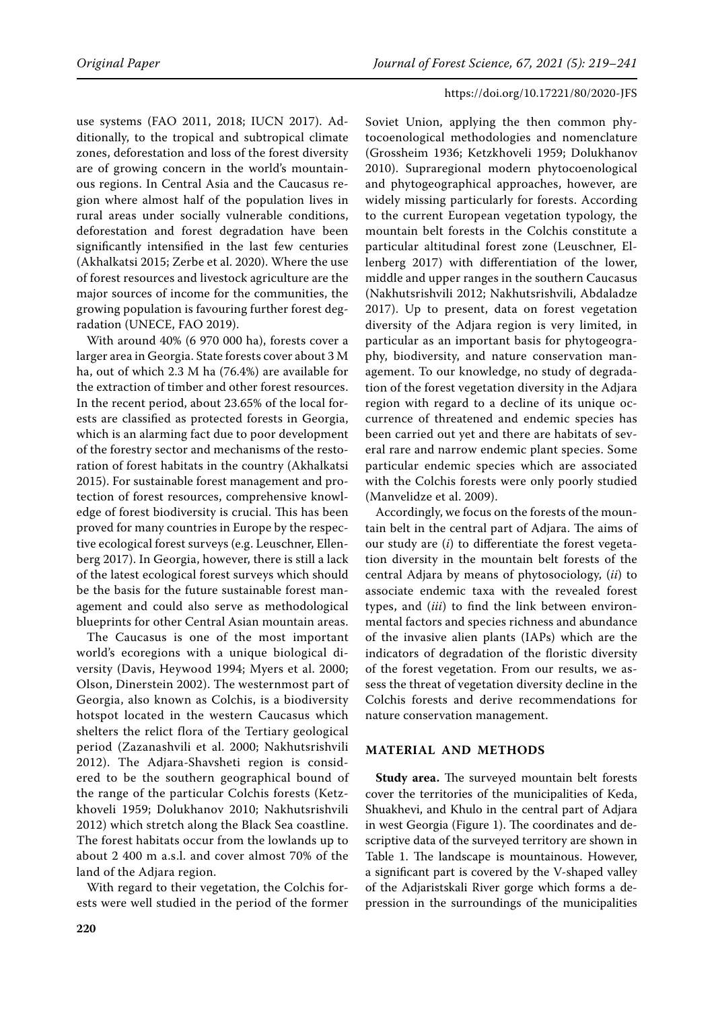use systems (FAO 2011, 2018; IUCN 2017). Additionally, to the tropical and subtropical climate zones, deforestation and loss of the forest diversity are of growing concern in the world's mountainous regions. In Central Asia and the Caucasus region where almost half of the population lives in rural areas under socially vulnerable conditions, deforestation and forest degradation have been significantly intensified in the last few centuries (Akhalkatsi 2015; Zerbe et al. 2020). Where the use of forest resources and livestock agriculture are the major sources of income for the communities, the growing population is favouring further forest degradation (UNECE, FAO 2019).

With around 40% (6 970 000 ha), forests cover a larger area in Georgia. State forests cover about 3 M ha, out of which 2.3 M ha (76.4%) are available for the extraction of timber and other forest resources. In the recent period, about 23.65% of the local forests are classified as protected forests in Georgia, which is an alarming fact due to poor development of the forestry sector and mechanisms of the restoration of forest habitats in the country (Akhalkatsi 2015). For sustainable forest management and protection of forest resources, comprehensive knowledge of forest biodiversity is crucial. This has been proved for many countries in Europe by the respective ecological forest surveys (e.g. Leuschner, Ellenberg 2017). In Georgia, however, there is still a lack of the latest ecological forest surveys which should be the basis for the future sustainable forest management and could also serve as methodological blueprints for other Central Asian mountain areas.

The Caucasus is one of the most important world's ecoregions with a unique biological diversity (Davis, Heywood 1994; Myers et al. 2000; Olson, Dinerstein 2002). The westernmost part of Georgia, also known as Colchis, is a biodiversity hotspot located in the western Caucasus which shelters the relict flora of the Tertiary geological period (Zazanashvili et al. 2000; Nakhutsrishvili 2012). The Adjara-Shavsheti region is considered to be the southern geographical bound of the range of the particular Colchis forests (Ketzkhoveli 1959; Dolukhanov 2010; Nakhutsrishvili 2012) which stretch along the Black Sea coastline. The forest habitats occur from the lowlands up to about 2 400 m a.s.l. and cover almost 70% of the land of the Adjara region.

With regard to their vegetation, the Colchis forests were well studied in the period of the former

Soviet Union, applying the then common phytocoenological methodologies and nomenclature (Grossheim 1936; Ketzkhoveli 1959; Dolukhanov 2010). Supraregional modern phytocoenological and phytogeographical approaches, however, are widely missing particularly for forests. According to the current European vegetation typology, the mountain belt forests in the Colchis constitute a particular altitudinal forest zone (Leuschner, Ellenberg 2017) with differentiation of the lower, middle and upper ranges in the southern Caucasus (Nakhutsrishvili 2012; Nakhutsrishvili, Abdaladze 2017). Up to present, data on forest vegetation diversity of the Adjara region is very limited, in particular as an important basis for phytogeography, biodiversity, and nature conservation management. To our knowledge, no study of degradation of the forest vegetation diversity in the Adjara region with regard to a decline of its unique occurrence of threatened and endemic species has been carried out yet and there are habitats of several rare and narrow endemic plant species. Some particular endemic species which are associated with the Colchis forests were only poorly studied (Manvelidze et al. 2009).

Accordingly, we focus on the forests of the mountain belt in the central part of Adjara. The aims of our study are (*i*) to differentiate the forest vegetation diversity in the mountain belt forests of the central Adjara by means of phytosociology, (*ii*) to associate endemic taxa with the revealed forest types, and (*iii*) to find the link between environmental factors and species richness and abundance of the invasive alien plants (IAPs) which are the indicators of degradation of the floristic diversity of the forest vegetation. From our results, we assess the threat of vegetation diversity decline in the Colchis forests and derive recommendations for nature conservation management.

# **MATERIAL AND METHODS**

**Study area.** The surveyed mountain belt forests cover the territories of the municipalities of Keda, Shuakhevi, and Khulo in the central part of Adjara in west Georgia (Figure 1). The coordinates and descriptive data of the surveyed territory are shown in Table 1. The landscape is mountainous. However, a significant part is covered by the V-shaped valley of the Adjaristskali River gorge which forms a depression in the surroundings of the municipalities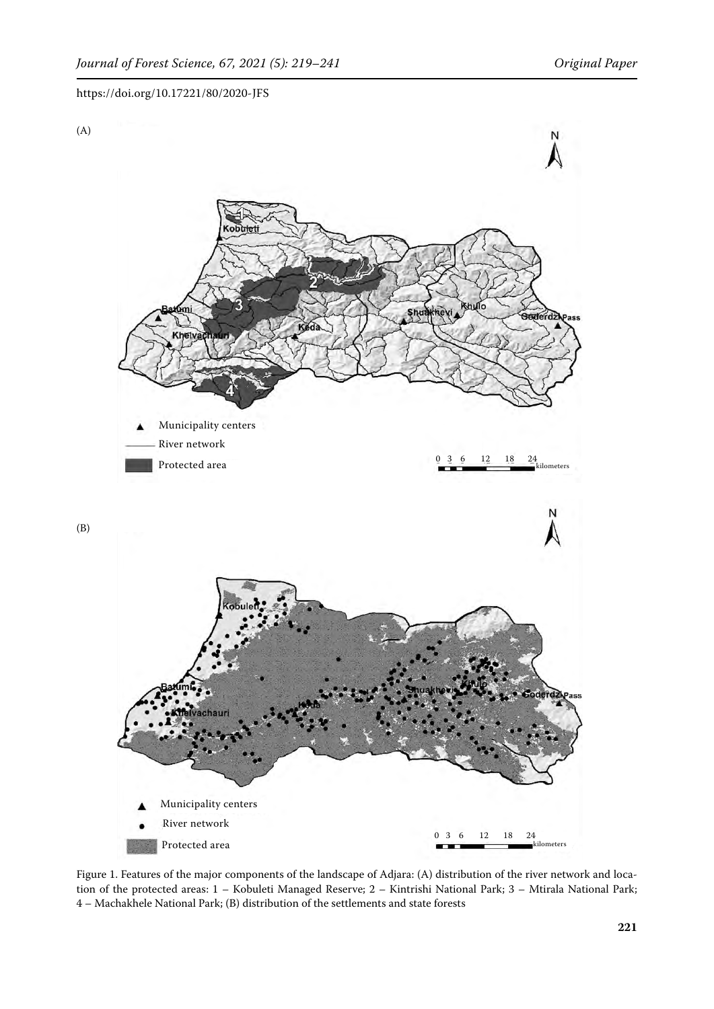

Figure 1. Features of the major components of the landscape of Adjara: (A) distribution of the river network and location of the protected areas: 1 – Kobuleti Managed Reserve; 2 – Kintrishi National Park; 3 – Mtirala National Park; 4 – Machakhele National Park; (B) distribution of the settlements and state forests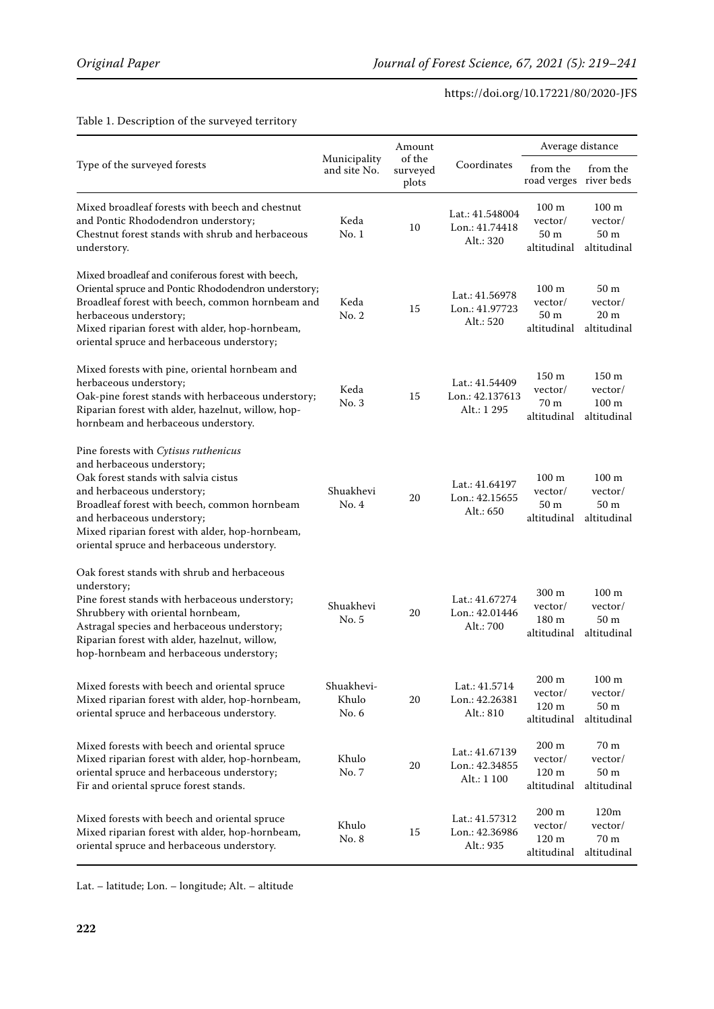|                                                                                                                                                                                                                                                                                                                         |                              | Amount                      |                                                                                                                                                                                                                                                                                                                                                                                                                                                                                                                                                                                                                          |                                          |                                                               |
|-------------------------------------------------------------------------------------------------------------------------------------------------------------------------------------------------------------------------------------------------------------------------------------------------------------------------|------------------------------|-----------------------------|--------------------------------------------------------------------------------------------------------------------------------------------------------------------------------------------------------------------------------------------------------------------------------------------------------------------------------------------------------------------------------------------------------------------------------------------------------------------------------------------------------------------------------------------------------------------------------------------------------------------------|------------------------------------------|---------------------------------------------------------------|
| Type of the surveyed forests                                                                                                                                                                                                                                                                                            | Municipality<br>and site No. | of the<br>surveyed<br>plots | Average distance<br>Coordinates<br>from the<br>road verges river beds<br>100 <sub>m</sub><br>Lat.: 41.548004<br>vector/<br>Lon.: 41.74418<br>50 <sub>m</sub><br>Alt.: 320<br>altitudinal<br>100 <sub>m</sub><br>Lat.: 41.56978<br>vector/<br>Lon.: 41.97723<br>50 m<br>Alt.: 520<br>altitudinal<br>150 <sub>m</sub><br>Lat.: 41.54409<br>vector/<br>Lon.: 42.137613<br>70 m<br>Alt.: 1 295<br>altitudinal<br>100 <sub>m</sub><br>Lat.: 41.64197<br>vector/<br>Lon.: 42.15655<br>50 m<br>Alt.: 650<br>altitudinal<br>300 <sub>m</sub><br>Lat.: 41.67274<br>vector/<br>Lon.: 42.01446<br>180 m<br>Alt.: 700<br>altitudinal | from the                                 |                                                               |
| Mixed broadleaf forests with beech and chestnut<br>and Pontic Rhododendron understory;<br>Chestnut forest stands with shrub and herbaceous<br>understory.                                                                                                                                                               | Keda<br>No.1                 | 10                          |                                                                                                                                                                                                                                                                                                                                                                                                                                                                                                                                                                                                                          |                                          | 100 <sub>m</sub><br>vector/<br>50 <sub>m</sub><br>altitudinal |
| Mixed broadleaf and coniferous forest with beech,<br>Oriental spruce and Pontic Rhododendron understory;<br>Broadleaf forest with beech, common hornbeam and<br>herbaceous understory;<br>Mixed riparian forest with alder, hop-hornbeam,<br>oriental spruce and herbaceous understory;                                 | Keda<br>No. 2                | 15                          |                                                                                                                                                                                                                                                                                                                                                                                                                                                                                                                                                                                                                          |                                          | 50 <sub>m</sub><br>vector/<br>20 <sub>m</sub><br>altitudinal  |
| Mixed forests with pine, oriental hornbeam and<br>herbaceous understory;<br>Oak-pine forest stands with herbaceous understory;<br>Riparian forest with alder, hazelnut, willow, hop-<br>hornbeam and herbaceous understory.                                                                                             | Keda<br>No.3                 | 15                          |                                                                                                                                                                                                                                                                                                                                                                                                                                                                                                                                                                                                                          |                                          | 150 m<br>vector/<br>100 <sub>m</sub><br>altitudinal           |
| Pine forests with Cytisus ruthenicus<br>and herbaceous understory;<br>Oak forest stands with salvia cistus<br>and herbaceous understory;<br>Broadleaf forest with beech, common hornbeam<br>and herbaceous understory;<br>Mixed riparian forest with alder, hop-hornbeam,<br>oriental spruce and herbaceous understory. | Shuakhevi<br>No.4            | 20                          |                                                                                                                                                                                                                                                                                                                                                                                                                                                                                                                                                                                                                          |                                          | 100 <sub>m</sub><br>vector/<br>50 <sub>m</sub><br>altitudinal |
| Oak forest stands with shrub and herbaceous<br>understory;<br>Pine forest stands with herbaceous understory;<br>Shrubbery with oriental hornbeam,<br>Astragal species and herbaceous understory;<br>Riparian forest with alder, hazelnut, willow,<br>hop-hornbeam and herbaceous understory;                            | Shuakhevi<br>No. 5           | 20                          |                                                                                                                                                                                                                                                                                                                                                                                                                                                                                                                                                                                                                          |                                          | 100 <sub>m</sub><br>vector/<br>50 <sub>m</sub><br>altitudinal |
| Mixed forests with beech and oriental spruce<br>Mixed riparian forest with alder, hop-hornbeam,<br>oriental spruce and herbaceous understory.                                                                                                                                                                           | Shuakhevi-<br>Khulo<br>No. 6 | 20                          | Lat.: 41.5714<br>Lon.: 42.26381<br>Alt.: 810                                                                                                                                                                                                                                                                                                                                                                                                                                                                                                                                                                             | 200 m<br>vector/<br>120 m<br>altitudinal | $100 \text{ m}$<br>vector/<br>50 <sub>m</sub><br>altitudinal  |
| Mixed forests with beech and oriental spruce<br>Mixed riparian forest with alder, hop-hornbeam,<br>oriental spruce and herbaceous understory;<br>Fir and oriental spruce forest stands.                                                                                                                                 | Khulo<br>No. 7               | 20                          | Lat.: 41.67139<br>Lon.: 42.34855<br>Alt.: 1 100                                                                                                                                                                                                                                                                                                                                                                                                                                                                                                                                                                          | 200 m<br>vector/<br>120 m<br>altitudinal | 70 m<br>vector/<br>50 m<br>altitudinal                        |
| Mixed forests with beech and oriental spruce<br>Mixed riparian forest with alder, hop-hornbeam,<br>oriental spruce and herbaceous understory.                                                                                                                                                                           | Khulo<br>No. 8               | 15                          | Lat.: 41.57312<br>Lon.: 42.36986<br>Alt.: 935                                                                                                                                                                                                                                                                                                                                                                                                                                                                                                                                                                            | 200 m<br>vector/<br>120 m<br>altitudinal | 120m<br>vector/<br>70 m<br>altitudinal                        |

# Table 1. Description of the surveyed territory

Lat. – latitude; Lon. – longitude; Alt. – altitude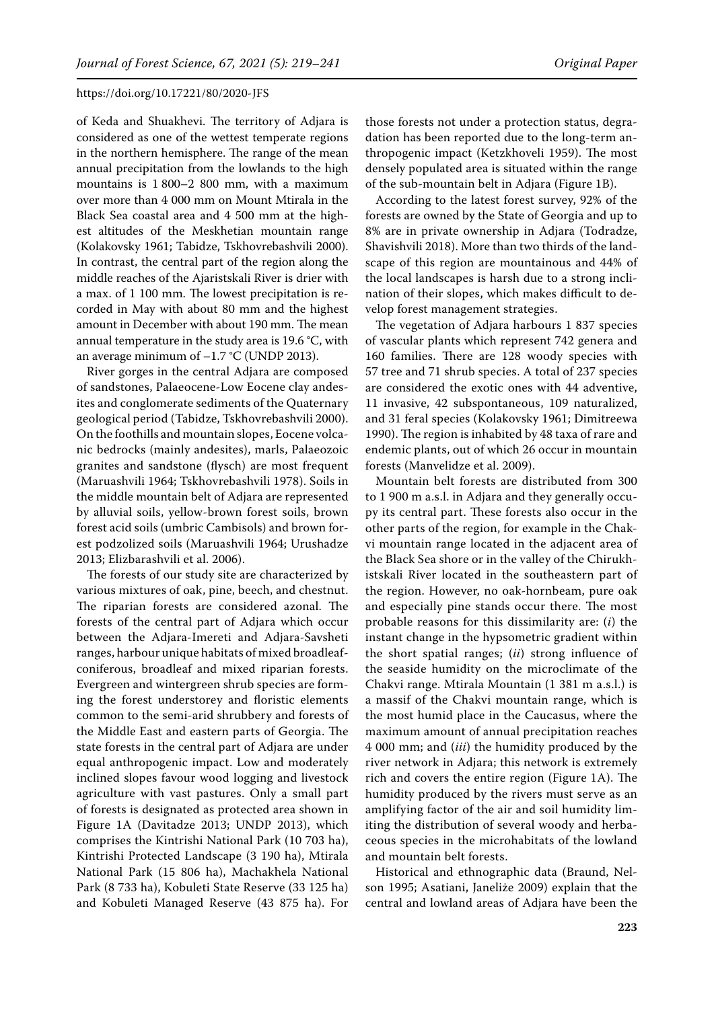of Keda and Shuakhevi. The territory of Adjara is considered as one of the wettest temperate regions in the northern hemisphere. The range of the mean annual precipitation from the lowlands to the high mountains is 1 800–2 800 mm, with a maximum over more than 4 000 mm on Mount Mtirala in the Black Sea coastal area and 4 500 mm at the highest altitudes of the Meskhetian mountain range (Kolakovsky 1961; Tabidze, Tskhovrebashvili 2000). In contrast, the central part of the region along the middle reaches of the Ajaristskali River is drier with a max. of 1 100 mm. The lowest precipitation is recorded in May with about 80 mm and the highest amount in December with about 190 mm. The mean annual temperature in the study area is 19.6 °C, with an average minimum of  $-1.7$  °C (UNDP 2013).

River gorges in the central Adjara are composed of sandstones, Palaeocene-Low Eocene clay andesites and conglomerate sediments of the Quaternary geological period (Tabidze, Tskhovrebashvili 2000). On the foothills and mountain slopes, Eocene volcanic bedrocks (mainly andesites), marls, Palaeozoic granites and sandstone (flysch) are most frequent (Maruashvili 1964; Tskhovrebashvili 1978). Soils in the middle mountain belt of Adjara are represented by alluvial soils, yellow-brown forest soils, brown forest acid soils (umbric Cambisols) and brown forest podzolized soils (Maruashvili 1964; Urushadze 2013; Elizbarashvili et al. 2006).

The forests of our study site are characterized by various mixtures of oak, pine, beech, and chestnut. The riparian forests are considered azonal. The forests of the central part of Adjara which occur between the Adjara-Imereti and Adjara-Savsheti ranges, harbour unique habitats of mixed broadleafconiferous, broadleaf and mixed riparian forests. Evergreen and wintergreen shrub species are forming the forest understorey and floristic elements common to the semi-arid shrubbery and forests of the Middle East and eastern parts of Georgia. The state forests in the central part of Adjara are under equal anthropogenic impact. Low and moderately inclined slopes favour wood logging and livestock agriculture with vast pastures. Only a small part of forests is designated as protected area shown in Figure 1A (Davitadze 2013; UNDP 2013), which comprises the Kintrishi National Park (10 703 ha), Kintrishi Protected Landscape (3 190 ha), Mtirala National Park (15 806 ha), Machakhela National Park (8 733 ha), Kobuleti State Reserve (33 125 ha) and Kobuleti Managed Reserve (43 875 ha). For those forests not under a protection status, degradation has been reported due to the long-term anthropogenic impact (Ketzkhoveli 1959). The most densely populated area is situated within the range of the sub-mountain belt in Adjara (Figure 1B).

According to the latest forest survey, 92% of the forests are owned by the State of Georgia and up to 8% are in private ownership in Adjara (Todradze, Shavishvili 2018). More than two thirds of the landscape of this region are mountainous and 44% of the local landscapes is harsh due to a strong inclination of their slopes, which makes difficult to develop forest management strategies.

The vegetation of Adjara harbours 1 837 species of vascular plants which represent 742 genera and 160 families. There are 128 woody species with 57 tree and 71 shrub species. A total of 237 species are considered the exotic ones with 44 adventive, 11 invasive, 42 subspontaneous, 109 naturalized, and 31 feral species (Kolakovsky 1961; Dimitreewa 1990). The region is inhabited by 48 taxa of rare and endemic plants, out of which 26 occur in mountain forests (Manvelidze et al. 2009).

Mountain belt forests are distributed from 300 to 1 900 m a.s.l. in Adjara and they generally occupy its central part. These forests also occur in the other parts of the region, for example in the Chakvi mountain range located in the adjacent area of the Black Sea shore or in the valley of the Chirukhistskali River located in the southeastern part of the region. However, no oak-hornbeam, pure oak and especially pine stands occur there. The most probable reasons for this dissimilarity are: (*i*) the instant change in the hypsometric gradient within the short spatial ranges; (*ii*) strong influence of the seaside humidity on the microclimate of the Chakvi range. Mtirala Mountain (1 381 m a.s.l.) is a massif of the Chakvi mountain range, which is the most humid place in the Caucasus, where the maximum amount of annual precipitation reaches 4 000 mm; and (*iii*) the humidity produced by the river network in Adjara; this network is extremely rich and covers the entire region (Figure 1A). The humidity produced by the rivers must serve as an amplifying factor of the air and soil humidity limiting the distribution of several woody and herbaceous species in the microhabitats of the lowland and mountain belt forests.

Historical and ethnographic data (Braund, Nelson 1995; Asatiani, Janeliże 2009) explain that the central and lowland areas of Adjara have been the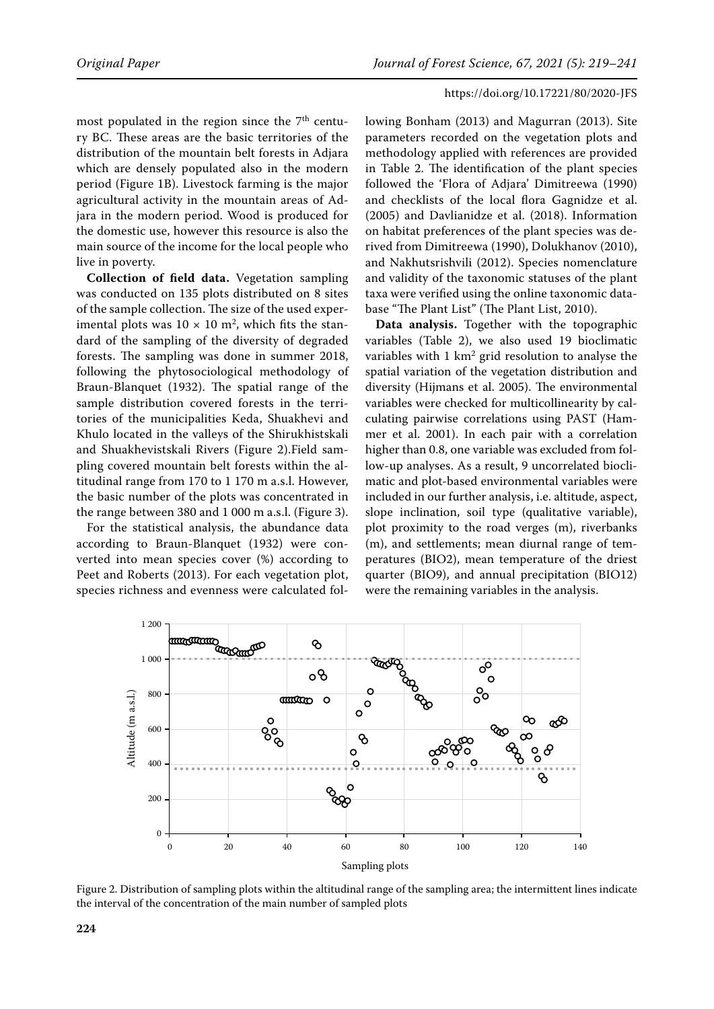most populated in the region since the  $7<sup>th</sup>$  century BC. These areas are the basic territories of the distribution of the mountain belt forests in Adjara which are densely populated also in the modern period (Figure 1B). Livestock farming is the major agricultural activity in the mountain areas of Adjara in the modern period. Wood is produced for the domestic use, however this resource is also the main source of the income for the local people who live in poverty.

**Collection of field data.** Vegetation sampling was conducted on 135 plots distributed on 8 sites of the sample collection. The size of the used experimental plots was  $10 \times 10$  m<sup>2</sup>, which fits the standard of the sampling of the diversity of degraded forests. The sampling was done in summer 2018, following the phytosociological methodology of Braun-Blanquet (1932). The spatial range of the sample distribution covered forests in the territories of the municipalities Keda, Shuakhevi and Khulo located in the valleys of the Shirukhistskali and Shuakhevistskali Rivers (Figure 2).Field sampling covered mountain belt forests within the altitudinal range from 170 to 1 170 m a.s.l. However, the basic number of the plots was concentrated in the range between 380 and 1 000 m a.s.l. (Figure 3).

For the statistical analysis, the abundance data according to Braun-Blanquet (1932) were converted into mean species cover (%) according to Peet and Roberts (2013). For each vegetation plot, species richness and evenness were calculated following Bonham (2013) and Magurran (2013). Site parameters recorded on the vegetation plots and methodology applied with references are provided in Table 2. The identification of the plant species followed the 'Flora of Adjara' Dimitreewa (1990) and checklists of the local flora Gagnidze et al. (2005) and Davlianidze et al. (2018). Information on habitat preferences of the plant species was derived from Dimitreewa (1990), Dolukhanov (2010), and Nakhutsrishvili (2012). Species nomenclature and validity of the taxonomic statuses of the plant taxa were verified using the online taxonomic database "The Plant List" (The Plant List, 2010).

**Data analysis.** Together with the topographic variables (Table 2), we also used 19 bioclimatic variables with  $1 \text{ km}^2$  grid resolution to analyse the spatial variation of the vegetation distribution and diversity (Hijmans et al. 2005). The environmental variables were checked for multicollinearity by calculating pairwise correlations using PAST (Hammer et al. 2001). In each pair with a correlation higher than 0.8, one variable was excluded from follow-up analyses. As a result, 9 uncorrelated bioclimatic and plot-based environmental variables were included in our further analysis, i.e. altitude, aspect, slope inclination, soil type (qualitative variable), plot proximity to the road verges (m), riverbanks (m), and settlements; mean diurnal range of temperatures (BIO2), mean temperature of the driest quarter (BIO9), and annual precipitation (BIO12) were the remaining variables in the analysis.



Figure 2. Distribution of sampling plots within the altitudinal range of the sampling area; the intermittent lines indicate the interval of the concentration of the main number of sampled plots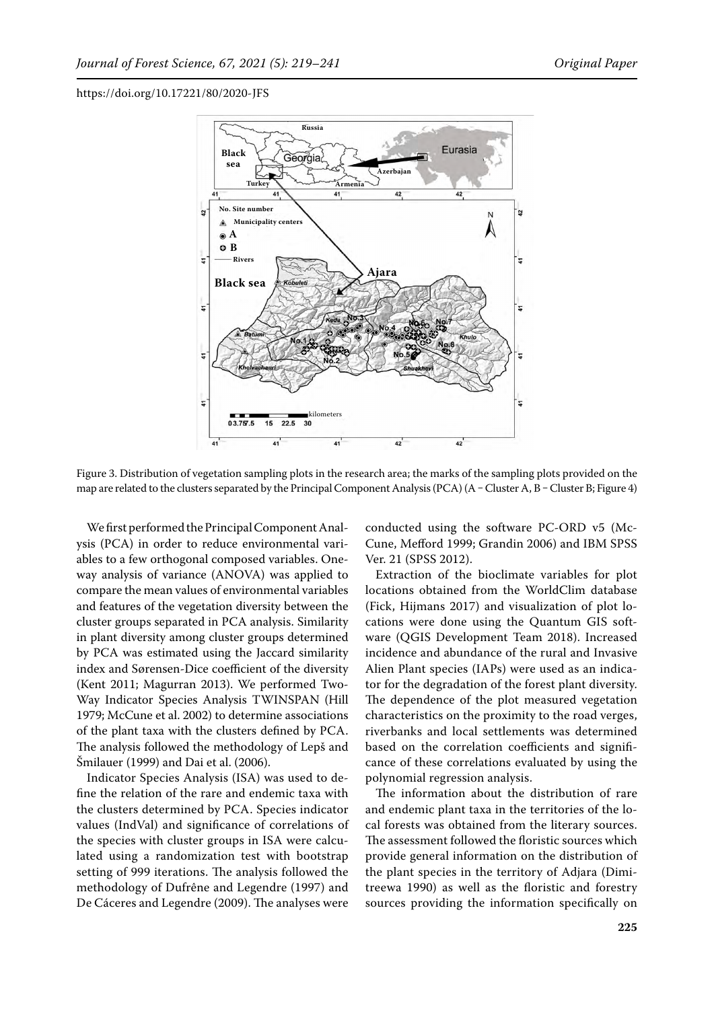

Figure 3. Distribution of vegetation sampling plots in the research area; the marks of the sampling plots provided on the map are related to the clusters separated by the Principal Component Analysis (PCA) (A – Cluster A, B – Cluster B; Figure 4)

We first performed the Principal Component Analysis (PCA) in order to reduce environmental variables to a few orthogonal composed variables. Oneway analysis of variance (ANOVA) was applied to compare the mean values of environmental variables and features of the vegetation diversity between the cluster groups separated in PCA analysis. Similarity in plant diversity among cluster groups determined by PCA was estimated using the Jaccard similarity index and Sørensen-Dice coefficient of the diversity (Kent 2011; Magurran 2013). We performed Two-Way Indicator Species Analysis TWINSPAN (Hill 1979; McCune et al. 2002) to determine associations of the plant taxa with the clusters defined by PCA. The analysis followed the methodology of Lepš and Šmilauer (1999) and Dai et al. (2006).

Indicator Species Analysis (ISA) was used to define the relation of the rare and endemic taxa with the clusters determined by PCA. Species indicator values (IndVal) and significance of correlations of the species with cluster groups in ISA were calculated using a randomization test with bootstrap setting of 999 iterations. The analysis followed the methodology of Dufrêne and Legendre (1997) and De Cáceres and Legendre (2009). The analyses were conducted using the software PC-ORD v5 (Mc-Cune, Mefford 1999; Grandin 2006) and IBM SPSS Ver. 21 (SPSS 2012).

Extraction of the bioclimate variables for plot locations obtained from the WorldClim database (Fick, Hijmans 2017) and visualization of plot locations were done using the Quantum GIS software (QGIS Development Team 2018). Increased incidence and abundance of the rural and Invasive Alien Plant species (IAPs) were used as an indicator for the degradation of the forest plant diversity. The dependence of the plot measured vegetation characteristics on the proximity to the road verges, riverbanks and local settlements was determined based on the correlation coefficients and significance of these correlations evaluated by using the polynomial regression analysis.

The information about the distribution of rare and endemic plant taxa in the territories of the local forests was obtained from the literary sources. The assessment followed the floristic sources which provide general information on the distribution of the plant species in the territory of Adjara (Dimitreewa 1990) as well as the floristic and forestry sources providing the information specifically on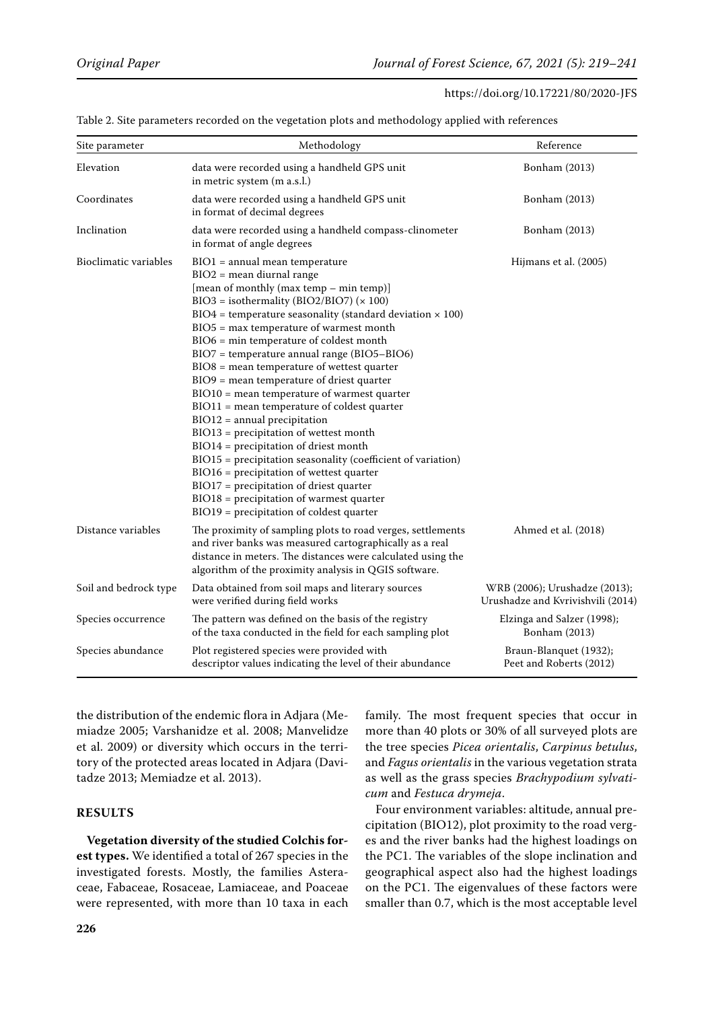| Site parameter        | Methodology                                                                                                                                                                                                                                                                                                                                                                                                                                                                                                                                                                                                                                                                                                                                                                                                                                                                                                                                  | Reference                                                          |
|-----------------------|----------------------------------------------------------------------------------------------------------------------------------------------------------------------------------------------------------------------------------------------------------------------------------------------------------------------------------------------------------------------------------------------------------------------------------------------------------------------------------------------------------------------------------------------------------------------------------------------------------------------------------------------------------------------------------------------------------------------------------------------------------------------------------------------------------------------------------------------------------------------------------------------------------------------------------------------|--------------------------------------------------------------------|
| Elevation             | data were recorded using a handheld GPS unit<br>in metric system (m a.s.l.)                                                                                                                                                                                                                                                                                                                                                                                                                                                                                                                                                                                                                                                                                                                                                                                                                                                                  | Bonham (2013)                                                      |
| Coordinates           | data were recorded using a handheld GPS unit<br>in format of decimal degrees                                                                                                                                                                                                                                                                                                                                                                                                                                                                                                                                                                                                                                                                                                                                                                                                                                                                 | Bonham (2013)                                                      |
| Inclination           | data were recorded using a handheld compass-clinometer<br>in format of angle degrees                                                                                                                                                                                                                                                                                                                                                                                                                                                                                                                                                                                                                                                                                                                                                                                                                                                         | Bonham (2013)                                                      |
| Bioclimatic variables | $BIO1 = annual mean temperature$<br>$BIO2 = mean$ diurnal range<br>[mean of monthly (max temp - min temp)]<br>$BIO3 = isothermality (BIO2/BIO7) (× 100)$<br>$BIO4 = temperature seasonality (standard deviation \times 100)$<br>BIO5 = max temperature of warmest month<br>BIO6 = min temperature of coldest month<br>BIO7 = temperature annual range (BIO5-BIO6)<br>$BIO8$ = mean temperature of wettest quarter<br>BIO9 = mean temperature of driest quarter<br>BIO10 = mean temperature of warmest quarter<br>$BIO11 = mean temperature of coldest quarter$<br>$BIO12 = annual precipitation$<br>$BIO13 = precipitation of wettest month$<br>$BIO14 = precipitation of driest month$<br>BIO15 = precipitation seasonality (coefficient of variation)<br>$BIO16 = precipitation of wettest quarter$<br>$BIO17 = precipitation of driest quarter$<br>$BIO18 = precipitation of warmest quarter$<br>BIO19 = precipitation of coldest quarter | Hijmans et al. (2005)                                              |
| Distance variables    | The proximity of sampling plots to road verges, settlements<br>and river banks was measured cartographically as a real<br>distance in meters. The distances were calculated using the<br>algorithm of the proximity analysis in QGIS software.                                                                                                                                                                                                                                                                                                                                                                                                                                                                                                                                                                                                                                                                                               | Ahmed et al. (2018)                                                |
| Soil and bedrock type | Data obtained from soil maps and literary sources<br>were verified during field works                                                                                                                                                                                                                                                                                                                                                                                                                                                                                                                                                                                                                                                                                                                                                                                                                                                        | WRB (2006); Urushadze (2013);<br>Urushadze and Kvrivishvili (2014) |
| Species occurrence    | The pattern was defined on the basis of the registry<br>of the taxa conducted in the field for each sampling plot                                                                                                                                                                                                                                                                                                                                                                                                                                                                                                                                                                                                                                                                                                                                                                                                                            | Elzinga and Salzer (1998);<br>Bonham (2013)                        |
| Species abundance     | Plot registered species were provided with<br>descriptor values indicating the level of their abundance                                                                                                                                                                                                                                                                                                                                                                                                                                                                                                                                                                                                                                                                                                                                                                                                                                      | Braun-Blanquet (1932);<br>Peet and Roberts (2012)                  |

Table 2. Site parameters recorded on the vegetation plots and methodology applied with references

the distribution of the endemic flora in Adjara (Memiadze 2005; Varshanidze et al. 2008; Manvelidze et al. 2009) or diversity which occurs in the territory of the protected areas located in Adjara (Davitadze 2013; Memiadze et al. 2013).

# **RESULTS**

**Vegetation diversity of the studied Colchis forest types.** We identified a total of 267 species in the investigated forests. Mostly, the families Asteraceae, Fabaceae, Rosaceae, Lamiaceae, and Poaceae were represented, with more than 10 taxa in each family. The most frequent species that occur in more than 40 plots or 30% of all surveyed plots are the tree species *Picea orientalis*, *Carpinus betulus*, and *Fagus orientalis* in the various vegetation strata as well as the grass species *Brachypodium sylvaticum* and *Festuca drymeja*.

Four environment variables: altitude, annual precipitation (BIO12), plot proximity to the road verges and the river banks had the highest loadings on the PC1. The variables of the slope inclination and geographical aspect also had the highest loadings on the PC1. The eigenvalues of these factors were smaller than 0.7, which is the most acceptable level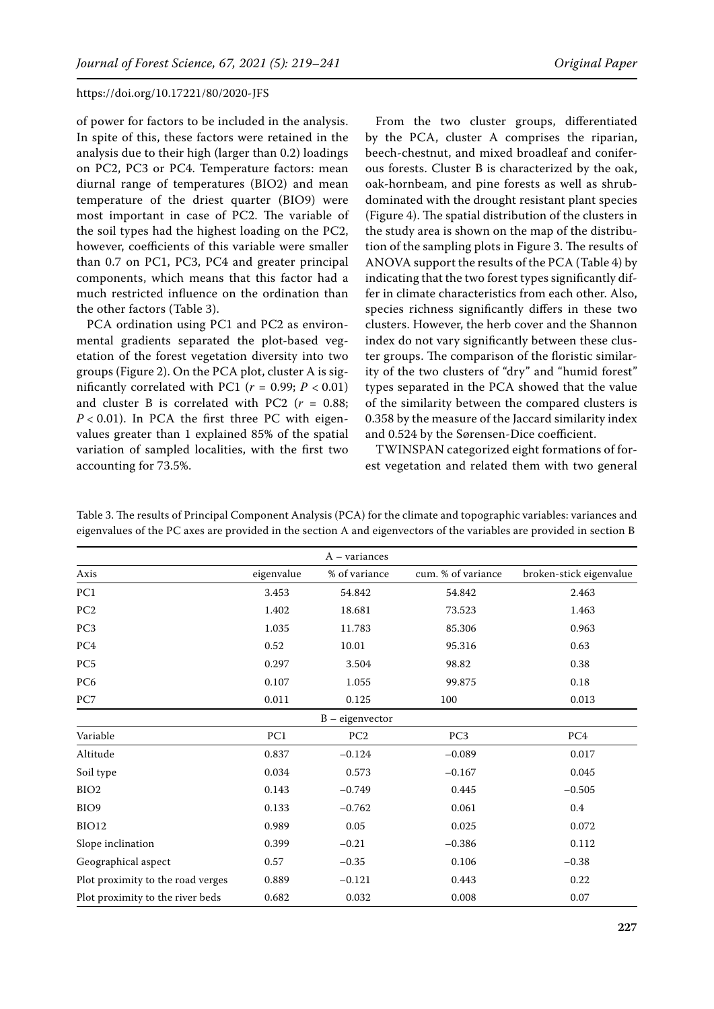of power for factors to be included in the analysis. In spite of this, these factors were retained in the analysis due to their high (larger than 0.2) loadings on PC2, PC3 or PC4. Temperature factors: mean diurnal range of temperatures (BIO2) and mean temperature of the driest quarter (BIO9) were most important in case of PC2. The variable of the soil types had the highest loading on the PC2, however, coefficients of this variable were smaller than 0.7 on PC1, PC3, PC4 and greater principal components, which means that this factor had a much restricted influence on the ordination than the other factors (Table 3).

PCA ordination using PC1 and PC2 as environmental gradients separated the plot-based vegetation of the forest vegetation diversity into two groups (Figure 2). On the PCA plot, cluster A is significantly correlated with PC1 ( $r = 0.99$ ;  $P < 0.01$ ) and cluster B is correlated with PC2 (*r* = 0.88;  $P < 0.01$ ). In PCA the first three PC with eigenvalues greater than 1 explained 85% of the spatial variation of sampled localities, with the first two accounting for 73.5%.

From the two cluster groups, differentiated by the PCA, cluster A comprises the riparian, beech-chestnut, and mixed broadleaf and coniferous forests. Cluster B is characterized by the oak, oak-hornbeam, and pine forests as well as shrubdominated with the drought resistant plant species (Figure 4). The spatial distribution of the clusters in the study area is shown on the map of the distribution of the sampling plots in Figure 3. The results of ANOVA support the results of the PCA (Table 4) by indicating that the two forest types significantly differ in climate characteristics from each other. Also, species richness significantly differs in these two clusters. However, the herb cover and the Shannon index do not vary significantly between these cluster groups. The comparison of the floristic similarity of the two clusters of "dry" and "humid forest" types separated in the PCA showed that the value of the similarity between the compared clusters is 0.358 by the measure of the Jaccard similarity index and 0.524 by the Sørensen-Dice coefficient.

TWINSPAN categorized eight formations of forest vegetation and related them with two general

|                                   |            | $A - variances$   |                    |                         |
|-----------------------------------|------------|-------------------|--------------------|-------------------------|
| Axis                              | eigenvalue | % of variance     | cum. % of variance | broken-stick eigenvalue |
| PC1                               | 3.453      | 54.842            | 54.842             | 2.463                   |
| PC <sub>2</sub>                   | 1.402      | 18.681            | 73.523             | 1.463                   |
| PC <sub>3</sub>                   | 1.035      | 11.783            | 85.306             | 0.963                   |
| PC <sub>4</sub>                   | 0.52       | 10.01             | 95.316             | 0.63                    |
| PC <sub>5</sub>                   | 0.297      | 3.504             | 98.82              | 0.38                    |
| PC <sub>6</sub>                   | 0.107      | 1.055             | 99.875             | 0.18                    |
| PC7                               | 0.011      | 0.125             | 100                | 0.013                   |
|                                   |            | $B - eigenvector$ |                    |                         |
| Variable                          | PC1        | PC <sub>2</sub>   | PC <sub>3</sub>    | PC4                     |
| Altitude                          | 0.837      | $-0.124$          | $-0.089$           | 0.017                   |
| Soil type                         | 0.034      | 0.573             | $-0.167$           | 0.045                   |
| BIO <sub>2</sub>                  | 0.143      | $-0.749$          | 0.445              | $-0.505$                |
| BIO <sub>9</sub>                  | 0.133      | $-0.762$          | 0.061              | $0.4\phantom{0}$        |
| BIO12                             | 0.989      | 0.05              | 0.025              | 0.072                   |
| Slope inclination                 | 0.399      | $-0.21$           | $-0.386$           | 0.112                   |
| Geographical aspect               | 0.57       | $-0.35$           | 0.106              | $-0.38$                 |
| Plot proximity to the road verges | 0.889      | $-0.121$          | 0.443              | 0.22                    |
| Plot proximity to the river beds  | 0.682      | 0.032             | 0.008              | 0.07                    |

Table 3. The results of Principal Component Analysis (PCA) for the climate and topographic variables: variances and eigenvalues of the PC axes are provided in the section A and eigenvectors of the variables are provided in section B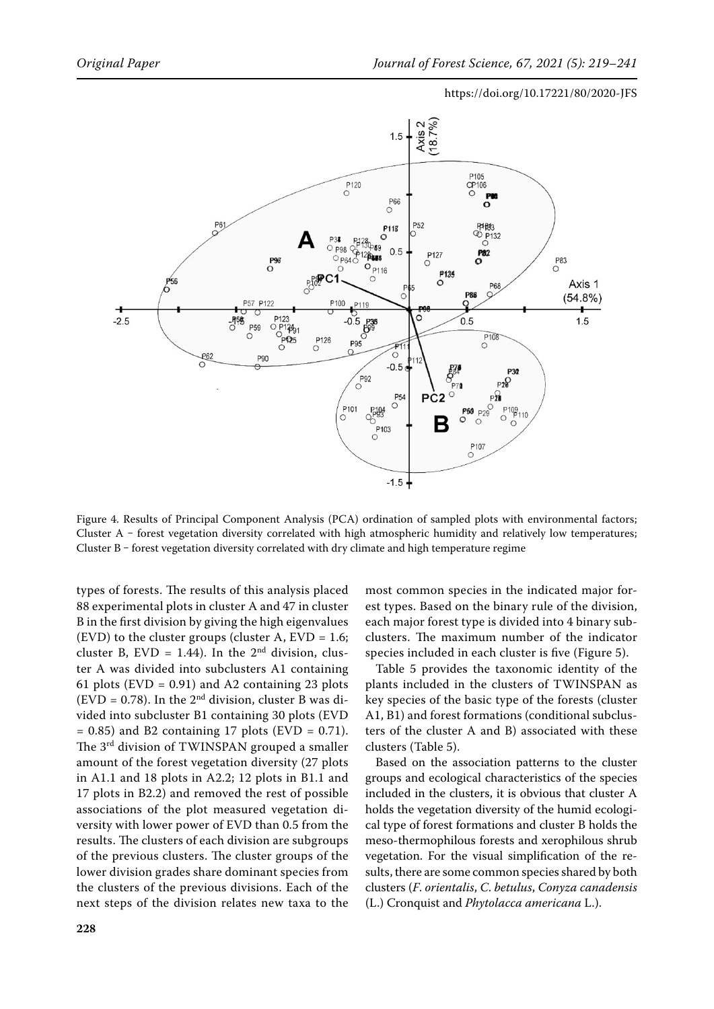

Figure 4. Results of Principal Component Analysis (PCA) ordination of sampled plots with environmental factors; Cluster A - forest vegetation diversity correlated with high atmospheric humidity and relatively low temperatures; Cluster B - forest vegetation diversity correlated with dry climate and high temperature regime

types of forests. The results of this analysis placed 88 experimental plots in cluster A and 47 in cluster B in the first division by giving the high eigenvalues (EVD) to the cluster groups (cluster A,  $EVD = 1.6$ ; cluster B,  $EVD = 1.44$ ). In the 2<sup>nd</sup> division, cluster A was divided into subclusters A1 containing 61 plots (EVD =  $0.91$ ) and A2 containing 23 plots (EVD = 0.78). In the  $2<sup>nd</sup>$  division, cluster B was divided into subcluster B1 containing 30 plots (EVD  $= 0.85$ ) and B2 containing 17 plots (EVD  $= 0.71$ ). The 3rd division of TWINSPAN grouped a smaller amount of the forest vegetation diversity (27 plots in A1.1 and 18 plots in A2.2; 12 plots in B1.1 and 17 plots in B2.2) and removed the rest of possible associations of the plot measured vegetation diversity with lower power of EVD than 0.5 from the results. The clusters of each division are subgroups of the previous clusters. The cluster groups of the lower division grades share dominant species from the clusters of the previous divisions. Each of the next steps of the division relates new taxa to the most common species in the indicated major forest types. Based on the binary rule of the division, each major forest type is divided into 4 binary subclusters. The maximum number of the indicator species included in each cluster is five (Figure 5).

Table 5 provides the taxonomic identity of the plants included in the clusters of TWINSPAN as key species of the basic type of the forests (cluster A1, B1) and forest formations (conditional subclusters of the cluster A and B) associated with these clusters (Table 5).

Based on the association patterns to the cluster groups and ecological characteristics of the species included in the clusters, it is obvious that cluster A holds the vegetation diversity of the humid ecological type of forest formations and cluster B holds the meso-thermophilous forests and xerophilous shrub vegetation. For the visual simplification of the results, there are some common species shared by both clusters (*F*. *orientalis*, *C*. *betulus*, *Conyza canadensis* (L.) Cronquist and *Phytolacca americana* L.).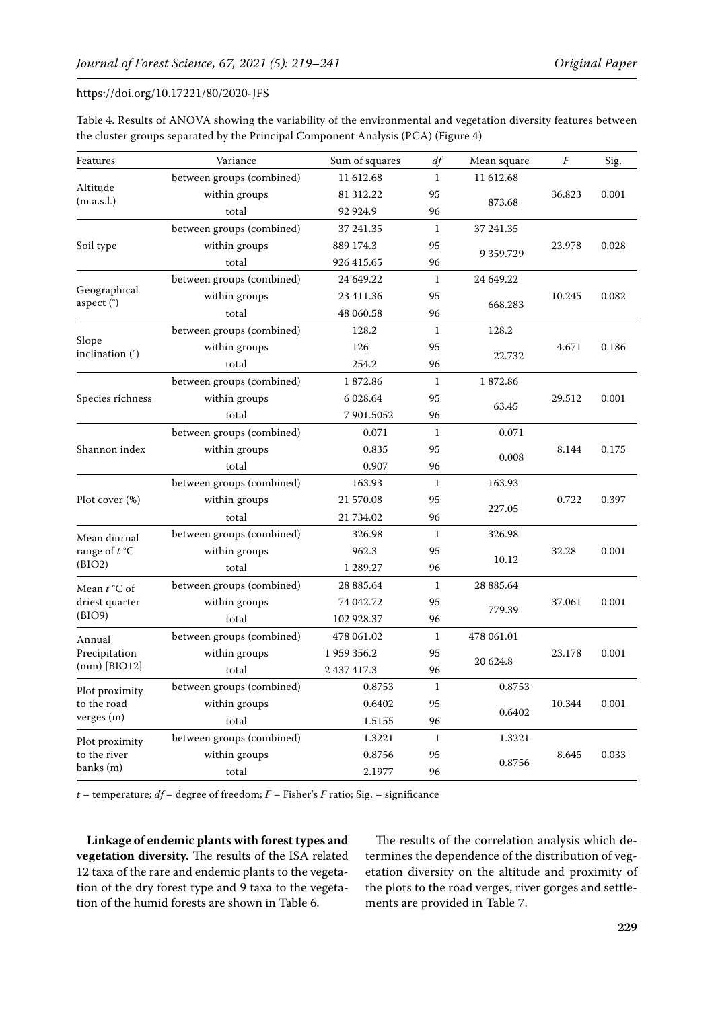| Table 4. Results of ANOVA showing the variability of the environmental and vegetation diversity features between |  |
|------------------------------------------------------------------------------------------------------------------|--|
| the cluster groups separated by the Principal Component Analysis (PCA) (Figure 4)                                |  |

| Features                   | Variance                  | Sum of squares | df           | Mean square     | $\boldsymbol{F}$ | Sig.  |
|----------------------------|---------------------------|----------------|--------------|-----------------|------------------|-------|
|                            | between groups (combined) | 11 612.68      | $\mathbf{1}$ | 11 612.68       | 36.823           |       |
| Altitude<br>(m a.s.l.)     | within groups             | 81 312.22      | 95           |                 |                  | 0.001 |
|                            | total                     | 92 924.9       | 96           | 873.68          |                  |       |
|                            | between groups (combined) | 37 241.35      | $\mathbf{1}$ | 37 241.35       |                  |       |
| Soil type                  | within groups             | 889 174.3      | 95           |                 | 23.978           | 0.028 |
|                            | total                     | 926 415.65     | 96           | 9 3 5 9 . 7 2 9 |                  |       |
|                            | between groups (combined) | 24 649.22      | $\mathbf{1}$ | 24 649.22       |                  |       |
| Geographical<br>aspect (°) | within groups             | 23 411.36      | 95           |                 | 10.245           | 0.082 |
|                            | total                     | 48 060.58      | 96           | 668.283         |                  |       |
|                            | between groups (combined) | 128.2          | 1            | 128.2           |                  |       |
| Slope                      | within groups             | 126            | 95           |                 | 4.671            | 0.186 |
| inclination (°)            | total                     | 254.2          | 96           | 22.732          |                  |       |
|                            | between groups (combined) | 1872.86        | $\mathbf{1}$ | 1872.86         |                  |       |
| Species richness           | within groups             | 6 0 28.64      | 95           |                 | 29.512           | 0.001 |
|                            | total                     | 7 901.5052     | 96           | 63.45           |                  |       |
|                            | between groups (combined) | 0.071          | $\mathbf{1}$ | 0.071           | 8.144            |       |
| Shannon index              | within groups             | 0.835          | 95           |                 |                  | 0.175 |
|                            | total                     | 0.907          | 96           | 0.008           |                  |       |
|                            | between groups (combined) | 163.93         | 1            | 163.93          | 0.722            |       |
| Plot cover (%)             | within groups             | 21 570.08      | 95           |                 |                  | 0.397 |
|                            | total                     | 21 734.02      | 96           | 227.05          |                  |       |
| Mean diurnal               | between groups (combined) | 326.98         | 1            | 326.98          | 32.28            |       |
| range of $t^{\circ}C$      | within groups             | 962.3          | 95           |                 |                  | 0.001 |
| (BIO2)                     | total                     | 1 289.27       | 96           | 10.12           |                  |       |
| Mean $t$ °C of             | between groups (combined) | 28 885.64      | 1            | 28 885.64       |                  |       |
| driest quarter             | within groups             | 74 042.72      | 95           |                 | 37.061           | 0.001 |
| (BIO9)                     | total                     | 102 928.37     | 96           | 779.39          |                  |       |
| Annual                     | between groups (combined) | 478 061.02     | $\mathbf{1}$ | 478 061.01      |                  |       |
| Precipitation              | within groups             | 1 959 356.2    | 95           |                 | 23.178           | 0.001 |
| $(mm)$ [BIO12]             | total                     | 2 437 417.3    | 96           | 20 624.8        |                  |       |
| Plot proximity             | between groups (combined) | 0.8753         | 1            | 0.8753          |                  |       |
| to the road                | within groups             | 0.6402         | 95           |                 | 10.344           | 0.001 |
| verges (m)                 | total                     | 1.5155         | 96           | 0.6402          |                  |       |
| Plot proximity             | between groups (combined) | 1.3221         | $\mathbf{1}$ | 1.3221          |                  |       |
| to the river               | within groups             | 0.8756         | 95           |                 | 8.645            | 0.033 |
| banks (m)                  | total                     | 2.1977         | 96           | 0.8756          |                  |       |

*t* – temperature; *df* – degree of freedom; *F* – Fisher's *F* ratio; Sig. – significance

**Linkage of endemic plants with forest types and vegetation diversity.** The results of the ISA related 12 taxa of the rare and endemic plants to the vegetation of the dry forest type and 9 taxa to the vegetation of the humid forests are shown in Table 6.

The results of the correlation analysis which determines the dependence of the distribution of vegetation diversity on the altitude and proximity of the plots to the road verges, river gorges and settlements are provided in Table 7.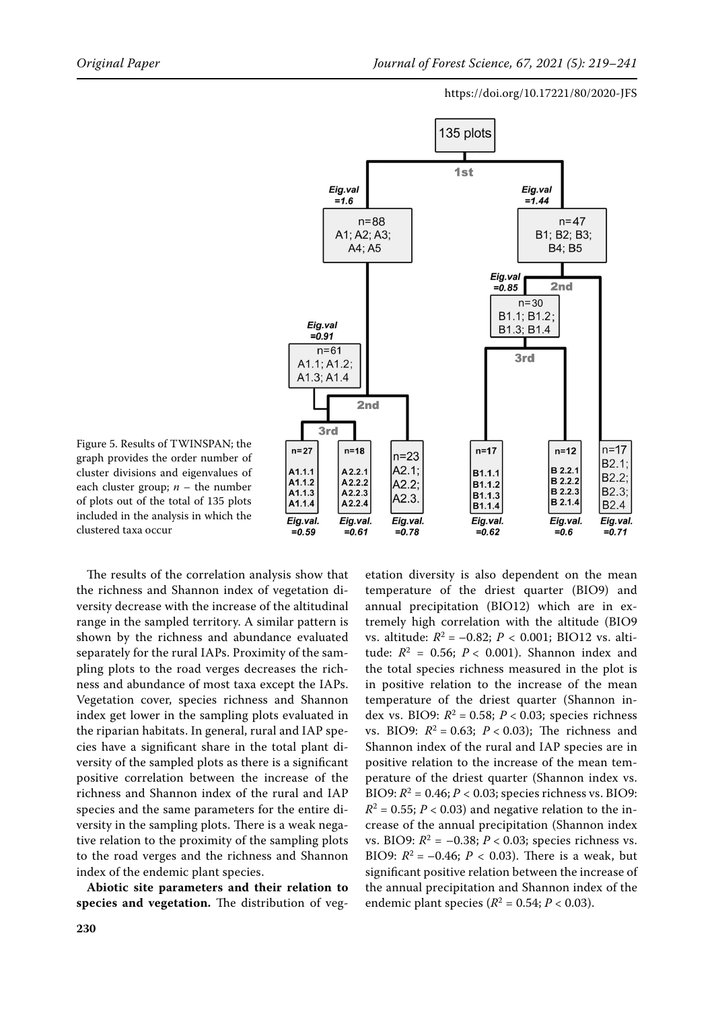

Figure 5. Results of TWINSPAN; the graph provides the order number of cluster divisions and eigenvalues of each cluster group;  $n -$  the number of plots out of the total of 135 plots included in the analysis in which the clustered taxa occur

The results of the correlation analysis show that the richness and Shannon index of vegetation diversity decrease with the increase of the altitudinal range in the sampled territory. A similar pattern is shown by the richness and abundance evaluated separately for the rural IAPs. Proximity of the sampling plots to the road verges decreases the richness and abundance of most taxa except the IAPs. Vegetation cover, species richness and Shannon index get lower in the sampling plots evaluated in the riparian habitats. In general, rural and IAP species have a significant share in the total plant diversity of the sampled plots as there is a significant positive correlation between the increase of the richness and Shannon index of the rural and IAP species and the same parameters for the entire diversity in the sampling plots. There is a weak negative relation to the proximity of the sampling plots to the road verges and the richness and Shannon index of the endemic plant species.

**Abiotic site parameters and their relation to species and vegetation.** The distribution of veg-

etation diversity is also dependent on the mean temperature of the driest quarter (BIO9) and annual precipitation (BIO12) which are in extremely high correlation with the altitude (BIO9 vs. altitude:  $R^2 = -0.82$ ;  $P < 0.001$ ; BIO12 vs. altitude:  $R^2 = 0.56$ ;  $P < 0.001$ ). Shannon index and the total species richness measured in the plot is in positive relation to the increase of the mean temperature of the driest quarter (Shannon index vs. BIO9:  $R^2 = 0.58$ ;  $P < 0.03$ ; species richness vs. BIO9:  $R^2 = 0.63$ ;  $P < 0.03$ ); The richness and Shannon index of the rural and IAP species are in positive relation to the increase of the mean temperature of the driest quarter (Shannon index vs. BIO9:  $R^2 = 0.46$ ;  $P < 0.03$ ; species richness vs. BIO9:  $R^2 = 0.55$ ;  $P < 0.03$ ) and negative relation to the increase of the annual precipitation (Shannon index vs. BIO9:  $R^2 = -0.38$ ;  $P < 0.03$ ; species richness vs. BIO9:  $R^2 = -0.46$ ;  $P < 0.03$ ). There is a weak, but significant positive relation between the increase of the annual precipitation and Shannon index of the endemic plant species ( $R^2 = 0.54; P < 0.03$ ).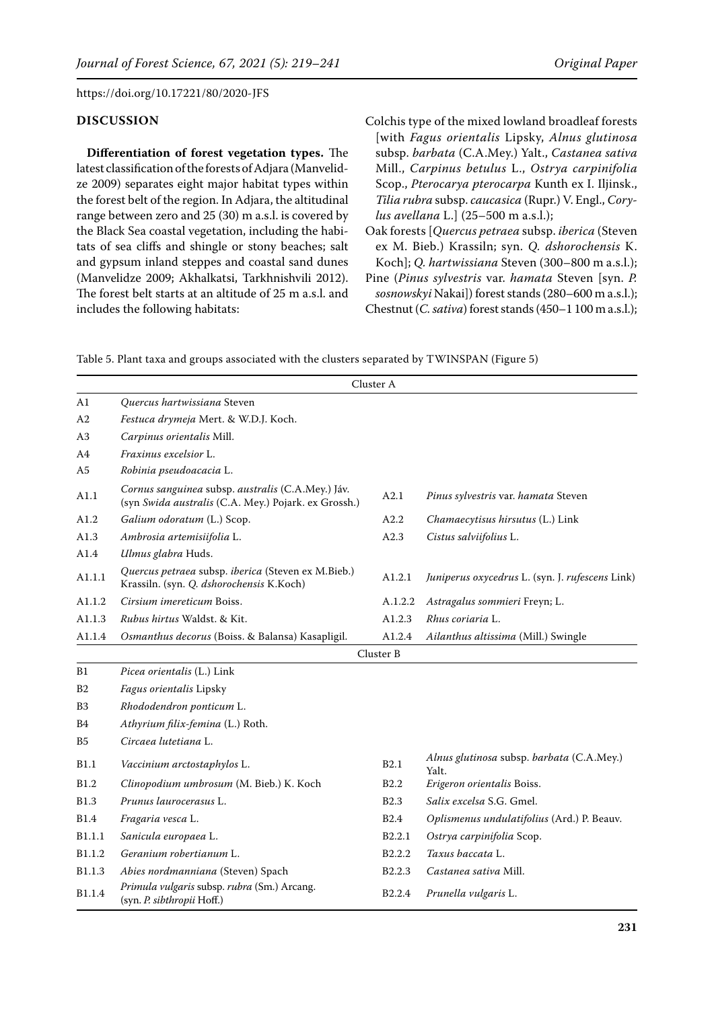## **DISCUSSION**

**Differentiation of forest vegetation types.** The latest classification of the forests of Adjara (Manvelidze 2009) separates eight major habitat types within the forest belt of the region. In Adjara, the altitudinal range between zero and 25 (30) m a.s.l. is covered by the Black Sea coastal vegetation, including the habitats of sea cliffs and shingle or stony beaches; salt and gypsum inland steppes and coastal sand dunes (Manvelidze 2009; Akhalkatsi, Tarkhnishvili 2012). The forest belt starts at an altitude of 25 m a.s.l. and includes the following habitats:

Colchis type of the mixed lowland broadleaf forests [with *Fagus orientalis* Lipsky, *Alnus glutinosa* subsp. *barbata* (C.A.Mey.) Yalt., *Castanea sativa* Mill., *Carpinus betulus* L., *Ostrya carpinifolia* Scop., *Pterocarya pterocarpa* Kunth ex I. Iljinsk., *Tilia rubra* subsp. *caucasica* (Rupr.) V. Engl., *Corylus avellana* L.] (25–500 m a.s.l.);

Oak forests [*Quercus petraea* subsp. *iberica* (Steven ex M. Bieb.) Krassiln; syn. *Q. dshorochensis* K. Koch]; *Q. hartwissiana* Steven (300–800 m a.s.l.);

Pine (*Pinus sylvestris* var. *hamata* Steven [syn. *P. sosnowskyi* Nakai]) forest stands (280–600 m a.s.l.); Chestnut (*C. sativa*) forest stands (450–1 100 m a.s.l.);

Table 5. Plant taxa and groups associated with the clusters separated by TWINSPAN (Figure 5)

|                |                                                                                                           | Cluster A          |                                                    |
|----------------|-----------------------------------------------------------------------------------------------------------|--------------------|----------------------------------------------------|
| A1             | Quercus hartwissiana Steven                                                                               |                    |                                                    |
| A2             | Festuca drymeja Mert. & W.D.J. Koch.                                                                      |                    |                                                    |
| A3             | Carpinus orientalis Mill.                                                                                 |                    |                                                    |
| A <sub>4</sub> | Fraxinus excelsior L.                                                                                     |                    |                                                    |
| A <sub>5</sub> | Robinia pseudoacacia L.                                                                                   |                    |                                                    |
| A1.1           | Cornus sanguinea subsp. australis (C.A.Mey.) Jáv.<br>(syn Swida australis (C.A. Mey.) Pojark. ex Grossh.) | A2.1               | Pinus sylvestris var. hamata Steven                |
| A1.2           | Galium odoratum (L.) Scop.                                                                                | A2.2               | Chamaecytisus hirsutus (L.) Link                   |
| A1.3           | Ambrosia artemisiifolia L.                                                                                | A2.3               | Cistus salviifolius L.                             |
| A1.4           | Ulmus glabra Huds.                                                                                        |                    |                                                    |
| A1.1.1         | Quercus petraea subsp. iberica (Steven ex M.Bieb.)<br>Krassiln. (syn. Q. dshorochensis K.Koch)            | A1.2.1             | Juniperus oxycedrus L. (syn. J. rufescens Link)    |
| A1.1.2         | Cirsium imereticum Boiss.                                                                                 | A.1.2.2            | Astragalus sommieri Freyn; L.                      |
| A1.1.3         | Rubus hirtus Waldst. & Kit.                                                                               | A1.2.3             | Rhus coriaria L.                                   |
| A1.1.4         | Osmanthus decorus (Boiss. & Balansa) Kasapligil.                                                          | A1.2.4             | Ailanthus altissima (Mill.) Swingle                |
|                |                                                                                                           | Cluster B          |                                                    |
| B1             | Picea orientalis (L.) Link                                                                                |                    |                                                    |
| B <sub>2</sub> | Fagus orientalis Lipsky                                                                                   |                    |                                                    |
| B <sub>3</sub> | Rhododendron ponticum L.                                                                                  |                    |                                                    |
| B4             | Athyrium filix-femina (L.) Roth.                                                                          |                    |                                                    |
| B5             | Circaea lutetiana L.                                                                                      |                    |                                                    |
| <b>B1.1</b>    | Vaccinium arctostaphylos L.                                                                               | B2.1               | Alnus glutinosa subsp. barbata (C.A.Mey.)<br>Yalt. |
| <b>B1.2</b>    | Clinopodium umbrosum (M. Bieb.) K. Koch                                                                   | B2.2               | Erigeron orientalis Boiss.                         |
| <b>B1.3</b>    | Prunus laurocerasus L.                                                                                    | <b>B2.3</b>        | Salix excelsa S.G. Gmel.                           |
| <b>B1.4</b>    | Fragaria vesca L.                                                                                         | <b>B2.4</b>        | Oplismenus undulatifolius (Ard.) P. Beauv.         |
| B1.1.1         | Sanicula europaea L.                                                                                      | B <sub>2.2.1</sub> | Ostrya carpinifolia Scop.                          |
| B1.1.2         | Geranium robertianum L.                                                                                   | B <sub>2.2.2</sub> | Taxus baccata L.                                   |
| B1.1.3         | Abies nordmanniana (Steven) Spach                                                                         | B <sub>2.2.3</sub> | Castanea sativa Mill.                              |
| B1.1.4         | Primula vulgaris subsp. rubra (Sm.) Arcang.<br>(syn. P. sibthropii Hoff.)                                 | B2.2.4             | Prunella vulgaris L.                               |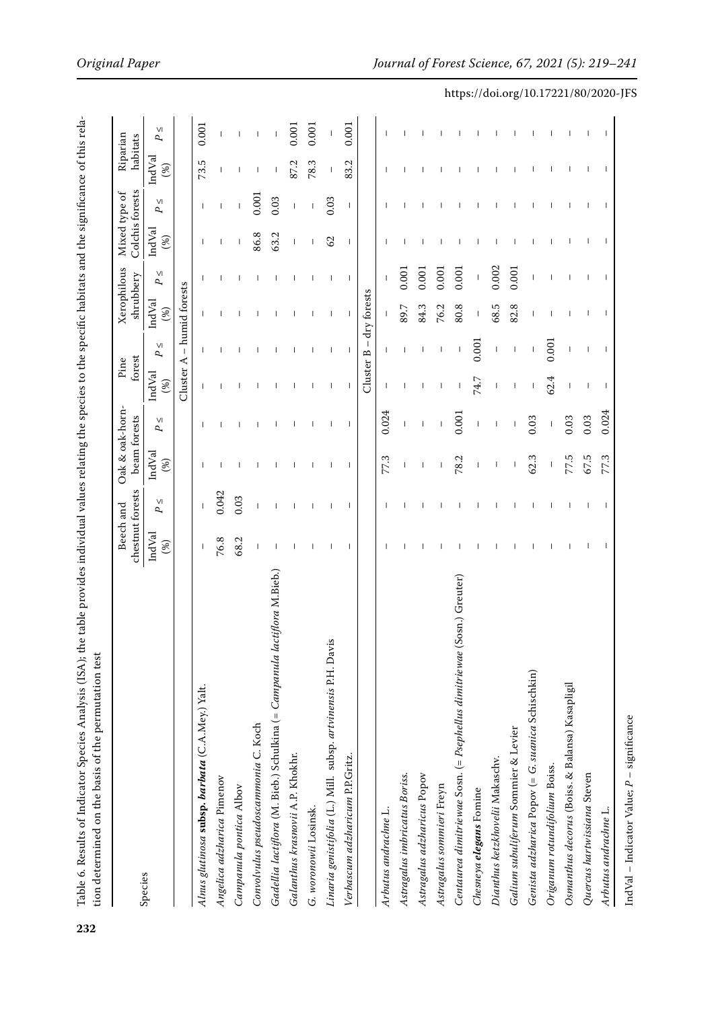|                                                                           | chestnut forests<br>Beech and |                          | Oak & oak-horn-<br>beam forests |                          | forest<br>Pine |                          | Xerophilous<br>shrubbery |              | Colchis forests<br>Mixed type of |                          | Riparian<br>habitats     |              |
|---------------------------------------------------------------------------|-------------------------------|--------------------------|---------------------------------|--------------------------|----------------|--------------------------|--------------------------|--------------|----------------------------------|--------------------------|--------------------------|--------------|
| Species                                                                   | IndVal<br>(%)                 | $\vee$<br>ς,             | IndVal<br>(%)                   | $\vee$<br>ς,             | IndVal<br>(%)  | $\vee$<br>P,             | IndVal<br>(%)            | $\vee$<br>P, | IndVal<br>$(\%)$                 | $\vee$<br>ς,             | IndVal<br>$(\%)$         | $\vee$<br>ρ, |
|                                                                           |                               |                          |                                 |                          | Cluster A      |                          | - humid forests          |              |                                  |                          |                          |              |
| Alnus glutinosa subsp. barbata (C.A.Mey.) Yalt.                           |                               |                          |                                 |                          |                |                          |                          |              |                                  |                          | 73.5                     | 0.001        |
| Angelica adzharica Pimenov                                                | 76.8                          | 0.042                    |                                 |                          |                |                          |                          |              |                                  |                          | ı                        |              |
| Campanula pontica Albov                                                   | 68.2                          | 0.03                     |                                 |                          |                |                          |                          |              |                                  |                          |                          |              |
| Convolvulus pseudoscammonia C. Koch                                       |                               |                          |                                 |                          |                |                          |                          |              | 86.8                             | 0.001                    |                          |              |
| Gadellia lactiflora (M. Bieb.) Schulkina (= Campanula lactiflora M.Bieb.) |                               |                          |                                 |                          |                |                          |                          |              | 63.2                             | 0.03                     |                          |              |
| Galanthus krasnovii A.P. Khokhr.                                          |                               |                          |                                 |                          |                |                          |                          |              | $\mathsf{I}$                     |                          | 87.2                     | 0.001        |
| G. woronowii Losinsk.                                                     |                               |                          |                                 |                          |                |                          |                          |              |                                  |                          | 78.3                     | 0.001        |
| S<br>Linaria genistifolia (L.) Mill. subsp. artvinensis P.H. Davi         |                               |                          |                                 | ı                        | п              |                          | J                        |              | $\mathcal{S}$                    | 0.03                     |                          |              |
| Verbascum adzharicum P.P.Gritz.                                           | $\mathbf{I}$                  | $\overline{\phantom{a}}$ | $\mathbf{I}$                    | $\overline{\phantom{a}}$ |                |                          |                          | $\mathbf{I}$ | $\overline{\phantom{a}}$         | $\overline{\phantom{a}}$ | 83.2                     | 0.001        |
|                                                                           |                               |                          |                                 |                          | Cluster B      | $\mathbf{I}$             | dry forests              |              |                                  |                          |                          |              |
| Arbutus andrachne L.                                                      |                               |                          | 77.3                            | 0.024                    |                |                          |                          |              |                                  |                          |                          |              |
| Astragalus imbricatus Boriss.                                             |                               |                          |                                 |                          |                |                          | 89.7                     | 0.001        |                                  |                          |                          |              |
| Astragalus adzharicus Popov                                               |                               |                          |                                 |                          |                |                          | 84.3                     | 0.001        |                                  |                          |                          |              |
| Astragalus sommieri Freyn                                                 |                               |                          |                                 |                          |                |                          | 76.2                     | 0.001        |                                  |                          |                          |              |
| Centaurea dimitriewae Sosn. (= Psephellus dimitriewae (Sosn.) Greuter)    |                               |                          | 78.2                            | 0.001                    |                |                          | 80.8                     | 0.001        |                                  |                          |                          |              |
| Chesneya elegans Fomine                                                   |                               |                          |                                 |                          | 74.7           | 0.001                    |                          |              |                                  |                          |                          |              |
| Dianthus ketzkhovelii Makaschv.                                           |                               |                          |                                 |                          |                |                          | 68.5                     | 0.002        | $\overline{\phantom{a}}$         |                          | $\overline{\phantom{a}}$ |              |
| Galium subuliferum Sommier & Levier                                       |                               |                          |                                 |                          |                | $\overline{\phantom{a}}$ | 82.8                     | 0.001        |                                  |                          |                          |              |
| Genista adzharica Popov (= G. suanica Schischkin)                         |                               |                          | 62.3                            | 0.03                     |                |                          |                          |              |                                  |                          |                          |              |
| Origanum rotundifolium Boiss.                                             |                               |                          |                                 | $\mathbf{I}$             | 62.4           | 0.001                    |                          |              |                                  |                          | $\mathbf{I}$             |              |
| Osmanthus decorus (Boiss. & Balansa) Kasapligil                           |                               |                          | 77.5                            | 0.03                     |                |                          |                          |              |                                  |                          |                          |              |
| Quercus hartwissiana Steven                                               |                               |                          | 67.5                            | 0.03                     |                | I                        | ı                        |              |                                  |                          |                          |              |
| Arbutus andrachne L.                                                      |                               | $\mathbf{I}$             | 77.3                            | 0.024                    |                |                          |                          |              |                                  |                          |                          |              |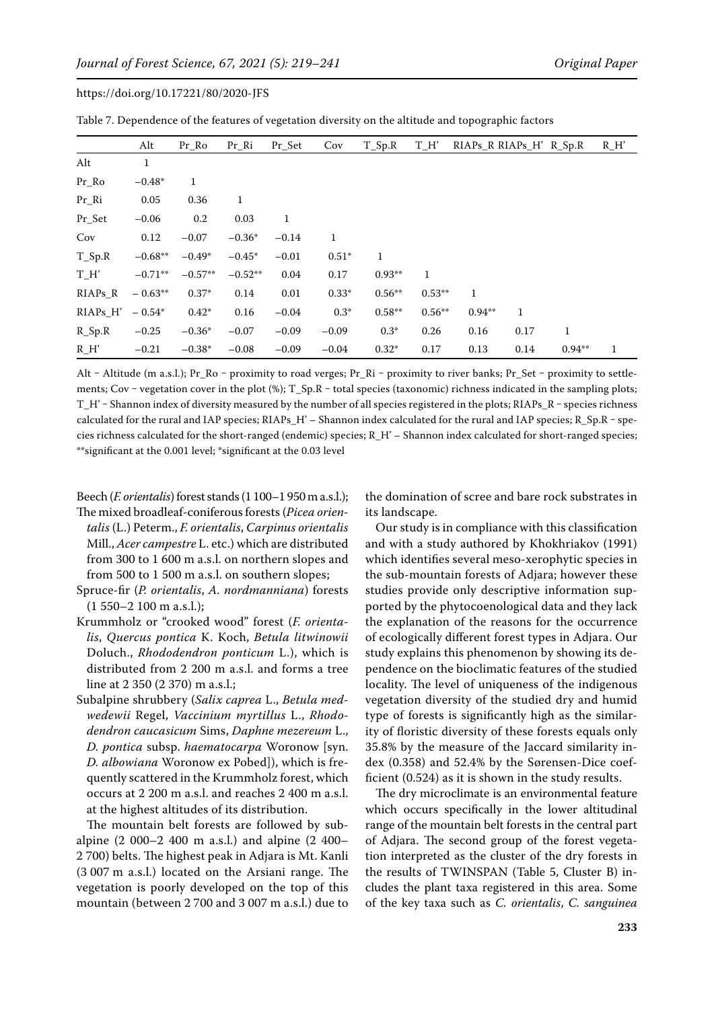|                      | Alt       | $Pr_R$    | $Pr_R$    | Pr Set       | Cov          | T Sp.R   | T H'     | RIAPS R RIAPS H' R Sp.R |      |              | $R$ H' |
|----------------------|-----------|-----------|-----------|--------------|--------------|----------|----------|-------------------------|------|--------------|--------|
| Alt                  | 1         |           |           |              |              |          |          |                         |      |              |        |
| Pr Ro                | $-0.48*$  | 1         |           |              |              |          |          |                         |      |              |        |
| Pr Ri                | 0.05      | 0.36      | 1         |              |              |          |          |                         |      |              |        |
| Pr Set               | $-0.06$   | 0.2       | 0.03      | $\mathbf{1}$ |              |          |          |                         |      |              |        |
| Cov                  | 0.12      | $-0.07$   | $-0.36*$  | $-0.14$      | $\mathbf{1}$ |          |          |                         |      |              |        |
| $T_Sp.R$             | $-0.68**$ | $-0.49*$  | $-0.45*$  | $-0.01$      | $0.51*$      | 1        |          |                         |      |              |        |
| T H'                 | $-0.71**$ | $-0.57**$ | $-0.52**$ | 0.04         | 0.17         | $0.93**$ | 1        |                         |      |              |        |
| $RIAPs_R$            | $-0.63**$ | $0.37*$   | 0.14      | 0.01         | $0.33*$      | $0.56**$ | $0.53**$ | 1                       |      |              |        |
| RIAPs H'             | $-0.54*$  | $0.42*$   | 0.16      | $-0.04$      | $0.3*$       | $0.58**$ | $0.56**$ | $0.94**$                | 1    |              |        |
| $R$ <sub>-Sp.R</sub> | $-0.25$   | $-0.36*$  | $-0.07$   | $-0.09$      | $-0.09$      | $0.3*$   | 0.26     | 0.16                    | 0.17 | $\mathbf{1}$ |        |
| $R_H'$               | $-0.21$   | $-0.38*$  | $-0.08$   | $-0.09$      | $-0.04$      | $0.32*$  | 0.17     | 0.13                    | 0.14 | $0.94**$     |        |

Table 7. Dependence of the features of vegetation diversity on the altitude and topographic factors

Alt - Altitude (m a.s.l.); Pr\_Ro - proximity to road verges; Pr\_Ri - proximity to river banks; Pr\_Set - proximity to settlements; Cov – vegetation cover in the plot  $(\%)$ ; T\_Sp.R – total species (taxonomic) richness indicated in the sampling plots; T\_H' – Shannon index of diversity measured by the number of all species registered in the plots; RIAPs\_R – species richness calculated for the rural and IAP species; RIAPs  $H'$  – Shannon index calculated for the rural and IAP species; R Sp.R – species richness calculated for the short-ranged (endemic) species; R\_H' – Shannon index calculated for short-ranged species; \*\*significant at the 0.001 level; \*significant at the 0.03 level

Beech (*F. orientalis*) forest stands (1 100–1 950 m a.s.l.); The mixed broadleaf-coniferous forests (*Picea orientalis* (L.) Peterm., *F. orientalis*, *Carpinus orientalis* Mill., *Acer campestre* L. etc.) which are distributed from 300 to 1 600 m a.s.l. on northern slopes and from 500 to 1 500 m a.s.l. on southern slopes;

- Spruce-fir (*P. orientalis*, *A. nordmanniana*) forests (1 550–2 100 m a.s.l.);
- Krummholz or "crooked wood" forest (*F. orientalis*, *Quercus pontica* K. Koch, *Betula litwinowii* Doluch., *Rhododendron ponticum* L.), which is distributed from 2 200 m a.s.l. and forms a tree line at 2 350 (2 370) m a.s.l.;
- Subalpine shrubbery (*Salix caprea* L., *Betula medwedewii* Regel, *Vaccinium myrtillus* L., *Rhododendron caucasicum* Sims, *Daphne mezereum* L., *D. pontica* subsp. *haematocarpa* Woronow [syn. *D. albowiana* Woronow ex Pobed]), which is frequently scattered in the Krummholz forest, which occurs at 2 200 m a.s.l. and reaches 2 400 m a.s.l. at the highest altitudes of its distribution.

The mountain belt forests are followed by subalpine (2 000–2 400 m a.s.l.) and alpine (2 400– 2 700) belts. The highest peak in Adjara is Mt. Kanli (3 007 m a.s.l.) located on the Arsiani range. The vegetation is poorly developed on the top of this mountain (between 2 700 and 3 007 m a.s.l.) due to the domination of scree and bare rock substrates in its landscape.

Our study is in compliance with this classification and with a study authored by Khokhriakov (1991) which identifies several meso-xerophytic species in the sub-mountain forests of Adjara; however these studies provide only descriptive information supported by the phytocoenological data and they lack the explanation of the reasons for the occurrence of ecologically different forest types in Adjara. Our study explains this phenomenon by showing its dependence on the bioclimatic features of the studied locality. The level of uniqueness of the indigenous vegetation diversity of the studied dry and humid type of forests is significantly high as the similarity of floristic diversity of these forests equals only 35.8% by the measure of the Jaccard similarity index (0.358) and 52.4% by the Sørensen-Dice coefficient (0.524) as it is shown in the study results.

The dry microclimate is an environmental feature which occurs specifically in the lower altitudinal range of the mountain belt forests in the central part of Adjara. The second group of the forest vegetation interpreted as the cluster of the dry forests in the results of TWINSPAN (Table 5, Cluster B) includes the plant taxa registered in this area. Some of the key taxa such as *C. orientalis*, *C. sanguinea*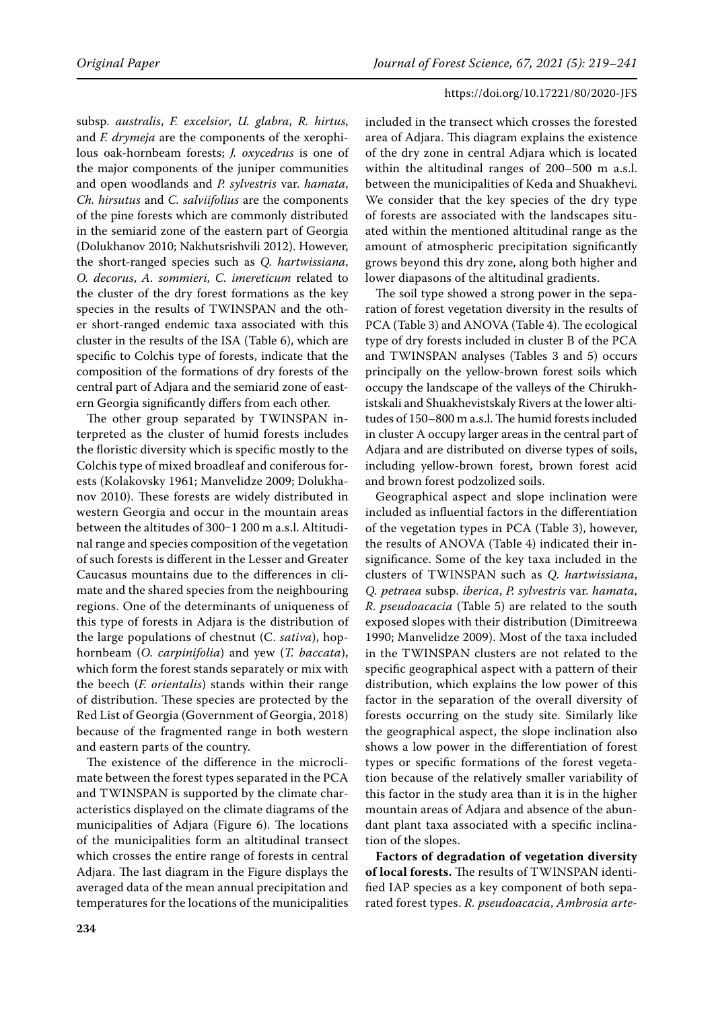subsp. *australis*, *F. excelsior*, *U. glabra*, *R. hirtus*, and *F. drymeja* are the components of the xerophilous oak-hornbeam forests; *J. oxycedrus* is one of the major components of the juniper communities and open woodlands and *P. sylvestris* var. *hamata*, *Ch. hirsutus* and *C. salviifolius* are the components of the pine forests which are commonly distributed in the semiarid zone of the eastern part of Georgia (Dolukhanov 2010; Nakhutsrishvili 2012). However, the short-ranged species such as *Q. hartwissiana*, *O. decorus*, *A. sommieri*, *C. imereticum* related to the cluster of the dry forest formations as the key species in the results of TWINSPAN and the other short-ranged endemic taxa associated with this cluster in the results of the ISA (Table 6), which are specific to Colchis type of forests, indicate that the composition of the formations of dry forests of the central part of Adjara and the semiarid zone of eastern Georgia significantly differs from each other.

The other group separated by TWINSPAN interpreted as the cluster of humid forests includes the floristic diversity which is specific mostly to the Colchis type of mixed broadleaf and coniferous forests (Kolakovsky 1961; Manvelidze 2009; Dolukhanov 2010). These forests are widely distributed in western Georgia and occur in the mountain areas between the altitudes of 300-1 200 m a.s.l. Altitudinal range and species composition of the vegetation of such forests is different in the Lesser and Greater Caucasus mountains due to the differences in climate and the shared species from the neighbouring regions. One of the determinants of uniqueness of this type of forests in Adjara is the distribution of the large populations of chestnut (C. *sativa*), hophornbeam (*O. carpinifolia*) and yew (*T. baccata*), which form the forest stands separately or mix with the beech (*F. orientalis*) stands within their range of distribution. These species are protected by the Red List of Georgia (Government of Georgia, 2018) because of the fragmented range in both western and eastern parts of the country.

The existence of the difference in the microclimate between the forest types separated in the PCA and TWINSPAN is supported by the climate characteristics displayed on the climate diagrams of the municipalities of Adjara (Figure 6). The locations of the municipalities form an altitudinal transect which crosses the entire range of forests in central Adjara. The last diagram in the Figure displays the averaged data of the mean annual precipitation and temperatures for the locations of the municipalities included in the transect which crosses the forested area of Adjara. This diagram explains the existence of the dry zone in central Adjara which is located within the altitudinal ranges of 200–500 m a.s.l. between the municipalities of Keda and Shuakhevi. We consider that the key species of the dry type of forests are associated with the landscapes situated within the mentioned altitudinal range as the amount of atmospheric precipitation significantly grows beyond this dry zone, along both higher and lower diapasons of the altitudinal gradients.

The soil type showed a strong power in the separation of forest vegetation diversity in the results of PCA (Table 3) and ANOVA (Table 4). The ecological type of dry forests included in cluster B of the PCA and TWINSPAN analyses (Tables 3 and 5) occurs principally on the yellow-brown forest soils which occupy the landscape of the valleys of the Chirukhistskali and Shuakhevistskaly Rivers at the lower altitudes of 150–800 m a.s.l. The humid forests included in cluster A occupy larger areas in the central part of Adjara and are distributed on diverse types of soils, including yellow-brown forest, brown forest acid and brown forest podzolized soils.

Geographical aspect and slope inclination were included as influential factors in the differentiation of the vegetation types in PCA (Table 3), however, the results of ANOVA (Table 4) indicated their insignificance. Some of the key taxa included in the clusters of TWINSPAN such as *Q. hartwissiana*, *Q. petraea* subsp. *iberica*, *P. sylvestris* var. *hamata*, *R. pseudoacacia* (Table 5) are related to the south exposed slopes with their distribution (Dimitreewa 1990; Manvelidze 2009). Most of the taxa included in the TWINSPAN clusters are not related to the specific geographical aspect with a pattern of their distribution, which explains the low power of this factor in the separation of the overall diversity of forests occurring on the study site. Similarly like the geographical aspect, the slope inclination also shows a low power in the differentiation of forest types or specific formations of the forest vegetation because of the relatively smaller variability of this factor in the study area than it is in the higher mountain areas of Adjara and absence of the abundant plant taxa associated with a specific inclination of the slopes.

**Factors of degradation of vegetation diversity of local forests.** The results of TWINSPAN identified IAP species as a key component of both separated forest types. *R. pseudoacacia*, *Ambrosia arte-*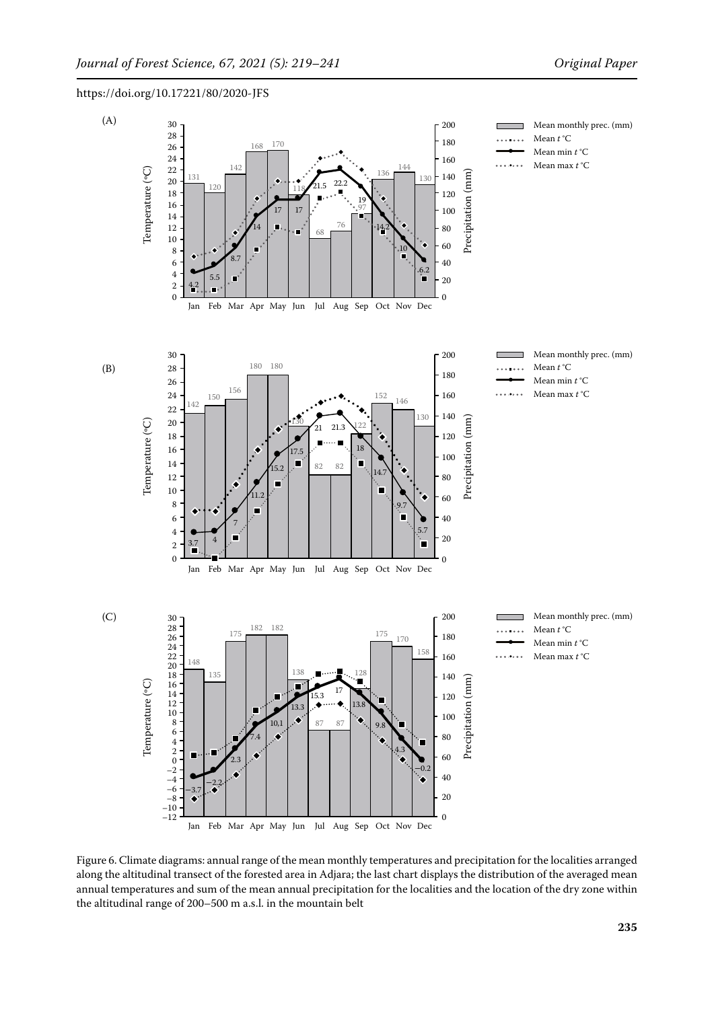

Figure 6. Climate diagrams: annual range of the mean monthly temperatures and precipitation for the localities arranged along the altitudinal transect of the forested area in Adjara; the last chart displays the distribution of the averaged mean annual temperatures and sum of the mean annual precipitation for the localities and the location of the dry zone within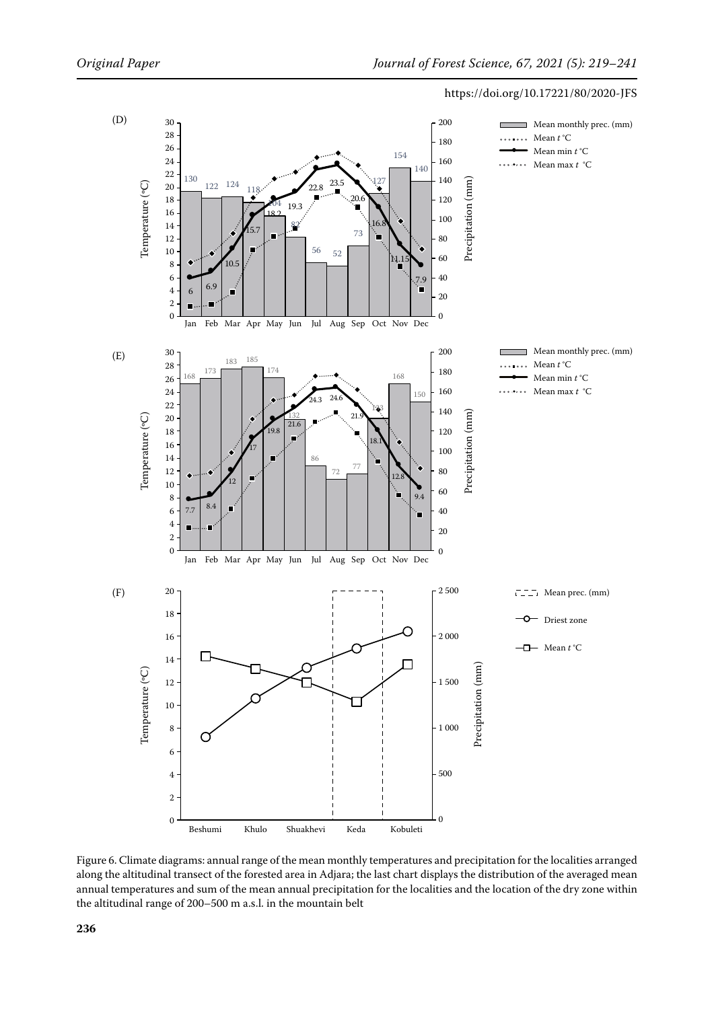

Figure 6. Climate diagrams: annual range of the mean monthly temperatures and precipitation for the localities arranged along the altitudinal transect of the forested area in Adjara; the last chart displays the distribution of the averaged mean annual temperatures and sum of the mean annual precipitation for the localities and the location of the dry zone within the altitudinal range of 200–500 m a.s.l. in the mountain belt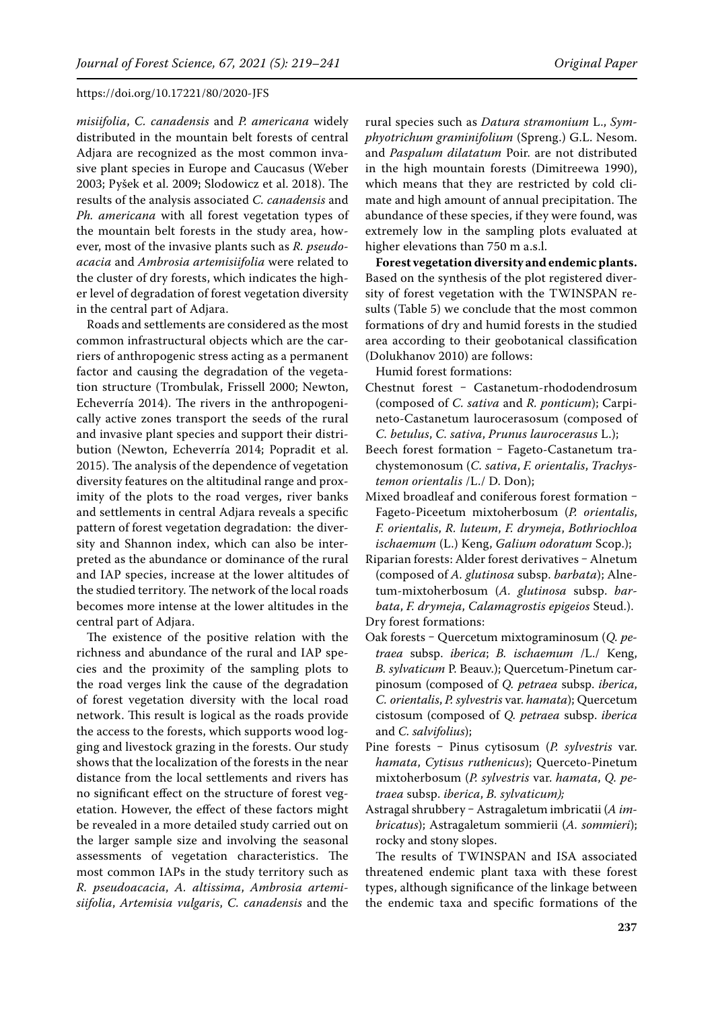*misiifolia*, *C. canadensis* and *P. americana* widely distributed in the mountain belt forests of central Adjara are recognized as the most common invasive plant species in Europe and Caucasus (Weber 2003; Pyšek et al. 2009; Slodowicz et al. 2018). The results of the analysis associated *C. canadensis* and *Ph. americana* with all forest vegetation types of the mountain belt forests in the study area, however, most of the invasive plants such as *R. pseudoacacia* and *Ambrosia artemisiifolia* were related to the cluster of dry forests, which indicates the higher level of degradation of forest vegetation diversity in the central part of Adjara.

Roads and settlements are considered as the most common infrastructural objects which are the carriers of anthropogenic stress acting as a permanent factor and causing the degradation of the vegetation structure (Trombulak, Frissell 2000; Newton, Echeverría 2014). The rivers in the anthropogenically active zones transport the seeds of the rural and invasive plant species and support their distribution (Newton, Echeverría 2014; Popradit et al. 2015). The analysis of the dependence of vegetation diversity features on the altitudinal range and proximity of the plots to the road verges, river banks and settlements in central Adjara reveals a specific pattern of forest vegetation degradation: the diversity and Shannon index, which can also be interpreted as the abundance or dominance of the rural and IAP species, increase at the lower altitudes of the studied territory. The network of the local roads becomes more intense at the lower altitudes in the central part of Adjara.

The existence of the positive relation with the richness and abundance of the rural and IAP species and the proximity of the sampling plots to the road verges link the cause of the degradation of forest vegetation diversity with the local road network. This result is logical as the roads provide the access to the forests, which supports wood logging and livestock grazing in the forests. Our study shows that the localization of the forests in the near distance from the local settlements and rivers has no significant effect on the structure of forest vegetation. However, the effect of these factors might be revealed in a more detailed study carried out on the larger sample size and involving the seasonal assessments of vegetation characteristics. The most common IAPs in the study territory such as *R. pseudoacacia*, *A. altissima*, *Ambrosia artemisiifolia*, *Artemisia vulgaris*, *C. canadensis* and the

rural species such as *Datura stramonium* L., *Symphyotrichum graminifolium* (Spreng.) G.L. Nesom. and *Paspalum dilatatum* Poir. are not distributed in the high mountain forests (Dimitreewa 1990), which means that they are restricted by cold climate and high amount of annual precipitation. The abundance of these species, if they were found, was extremely low in the sampling plots evaluated at higher elevations than 750 m a.s.l.

**Forest vegetation diversity and endemic plants.**  Based on the synthesis of the plot registered diversity of forest vegetation with the TWINSPAN results (Table 5) we conclude that the most common formations of dry and humid forests in the studied area according to their geobotanical classification (Dolukhanov 2010) are follows:

Humid forest formations:

- Chestnut forest ‒ Castanetum-rhododendrosum (composed of *C. sativa* and *R. ponticum*); Carpineto-Castanetum laurocerasosum (composed of *C. betulus*, *C. sativa*, *Prunus laurocerasus* L.);
- Beech forest formation Fageto-Castanetum trachystemonosum (*C. sativa*, *F. orientalis*, *Trachystemon orientalis* /L./ D. Don);
- Mixed broadleaf and coniferous forest formation -Fageto-Piceetum mixtoherbosum (*P. orientalis*, *F. orientalis*, *R. luteum*, *F. drymeja*, *Bothriochloa ischaemum* (L.) Keng, *Galium odoratum* Scop.);
- Riparian forests: Alder forest derivatives Alnetum (composed of *A. glutinosa* subsp. *barbata*); Alnetum-mixtoherbosum (*A. glutinosa* subsp. *barbata*, *F. drymeja*, *Calamagrostis epigeios* Steud.). Dry forest formations:
- Oak forests ‒ Quercetum mixtograminosum (*Q. petraea* subsp. *iberica*; *B. ischaemum* /L./ Keng, *B. sylvaticum* P. Beauv.); Quercetum-Pinetum carpinosum (composed of *Q. petraea* subsp. *iberica*, *C. orientalis*, *P. sylvestris* var. *hamata*); Quercetum cistosum (composed of *Q. petraea* subsp. *iberica* and *C. salvifolius*);
- Pine forests ‒ Pinus cytisosum (*P. sylvestris* var. *hamata*, *Cytisus ruthenicus*); Querceto-Pinetum mixtoherbosum (*P. sylvestris* var. *hamata*, *Q. petraea* subsp. *iberica*, *B. sylvaticum);*
- Astragal shrubbery ‒ Astragaletum imbricatii (*A imbricatus*); Astragaletum sommierii (*A. sommieri*); rocky and stony slopes.

The results of TWINSPAN and ISA associated threatened endemic plant taxa with these forest types, although significance of the linkage between the endemic taxa and specific formations of the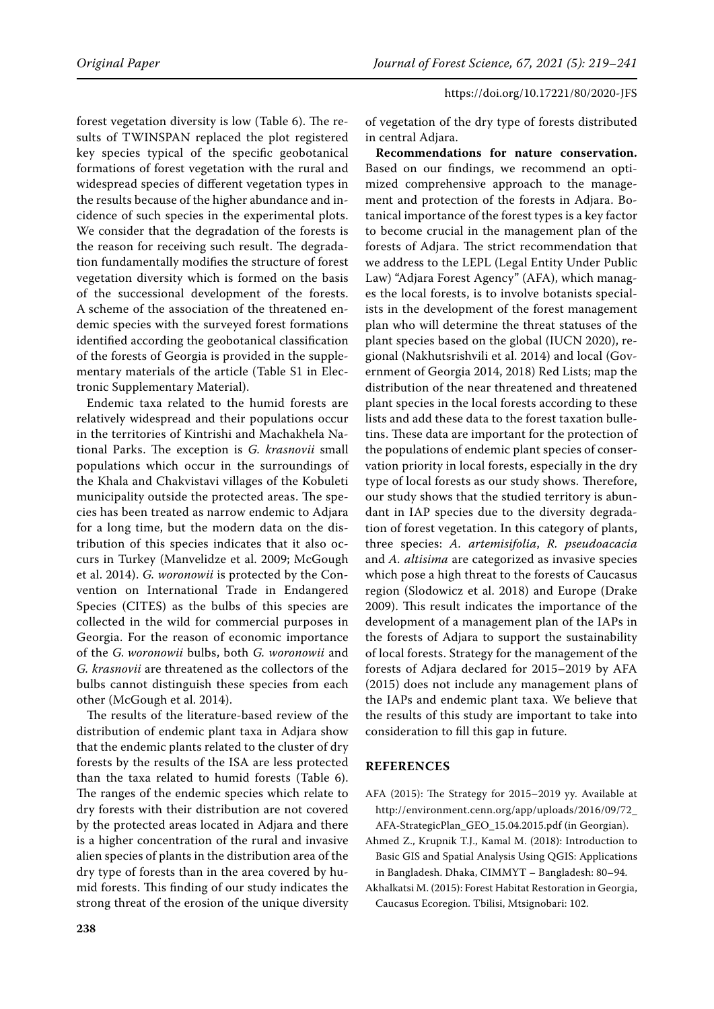forest vegetation diversity is low (Table 6). The results of TWINSPAN replaced the plot registered key species typical of the specific geobotanical formations of forest vegetation with the rural and widespread species of different vegetation types in the results because of the higher abundance and incidence of such species in the experimental plots. We consider that the degradation of the forests is the reason for receiving such result. The degradation fundamentally modifies the structure of forest vegetation diversity which is formed on the basis of the successional development of the forests. A scheme of the association of the threatened endemic species with the surveyed forest formations identified according the geobotanical classification of the forests of Georgia is provided in the supplementary materials of the article ([Table S1 in Elec](https://www.agriculturejournals.cz/web/jfs.htm?type=easForDoiArticle&id=80_2020-JFS)[tronic Supplementary Material\)](https://www.agriculturejournals.cz/web/jfs.htm?type=easForDoiArticle&id=80_2020-JFS).

Endemic taxa related to the humid forests are relatively widespread and their populations occur in the territories of Kintrishi and Machakhela National Parks. The exception is *G. krasnovii* small populations which occur in the surroundings of the Khala and Chakvistavi villages of the Kobuleti municipality outside the protected areas. The species has been treated as narrow endemic to Adjara for a long time, but the modern data on the distribution of this species indicates that it also occurs in Turkey (Manvelidze et al. 2009; McGough et al. 2014). *G. woronowii* is protected by the Convention on International Trade in Endangered Species (CITES) as the bulbs of this species are collected in the wild for commercial purposes in Georgia. For the reason of economic importance of the *G. woronowii* bulbs, both *G. woronowii* and *G. krasnovii* are threatened as the collectors of the bulbs cannot distinguish these species from each other (McGough et al. 2014).

The results of the literature-based review of the distribution of endemic plant taxa in Adjara show that the endemic plants related to the cluster of dry forests by the results of the ISA are less protected than the taxa related to humid forests (Table 6). The ranges of the endemic species which relate to dry forests with their distribution are not covered by the protected areas located in Adjara and there is a higher concentration of the rural and invasive alien species of plants in the distribution area of the dry type of forests than in the area covered by humid forests. This finding of our study indicates the strong threat of the erosion of the unique diversity

of vegetation of the dry type of forests distributed in central Adjara.

**Recommendations for nature conservation.**  Based on our findings, we recommend an optimized comprehensive approach to the management and protection of the forests in Adjara. Botanical importance of the forest types is a key factor to become crucial in the management plan of the forests of Adjara. The strict recommendation that we address to the LEPL (Legal Entity Under Public Law) "Adjara Forest Agency" (AFA), which manages the local forests, is to involve botanists specialists in the development of the forest management plan who will determine the threat statuses of the plant species based on the global (IUCN 2020), regional (Nakhutsrishvili et al. 2014) and local (Government of Georgia 2014, 2018) Red Lists; map the distribution of the near threatened and threatened plant species in the local forests according to these lists and add these data to the forest taxation bulletins. These data are important for the protection of the populations of endemic plant species of conservation priority in local forests, especially in the dry type of local forests as our study shows. Therefore, our study shows that the studied territory is abundant in IAP species due to the diversity degradation of forest vegetation. In this category of plants, three species: *A. artemisifolia*, *R. pseudoacacia* and *A. altisima* are categorized as invasive species which pose a high threat to the forests of Caucasus region (Slodowicz et al. 2018) and Europe (Drake 2009). This result indicates the importance of the development of a management plan of the IAPs in the forests of Adjara to support the sustainability of local forests. Strategy for the management of the forests of Adjara declared for 2015–2019 by AFA (2015) does not include any management plans of the IAPs and endemic plant taxa. We believe that the results of this study are important to take into consideration to fill this gap in future.

# **REFERENCES**

- AFA (2015): The Strategy for 2015–2019 yy. Available at http://environment.cenn.org/app/uploads/2016/09/72\_ AFA-StrategicPlan\_GEO\_15.04.2015.pdf (in Georgian).
- Ahmed Z., Krupnik T.J., Kamal M. (2018): Introduction to Basic GIS and Spatial Analysis Using QGIS: Applications in Bangladesh. Dhaka, CIMMYT – Bangladesh: 80–94.
- Akhalkatsi M. (2015): Forest Habitat Restoration in Georgia, Caucasus Ecoregion. Tbilisi, Mtsignobari: 102.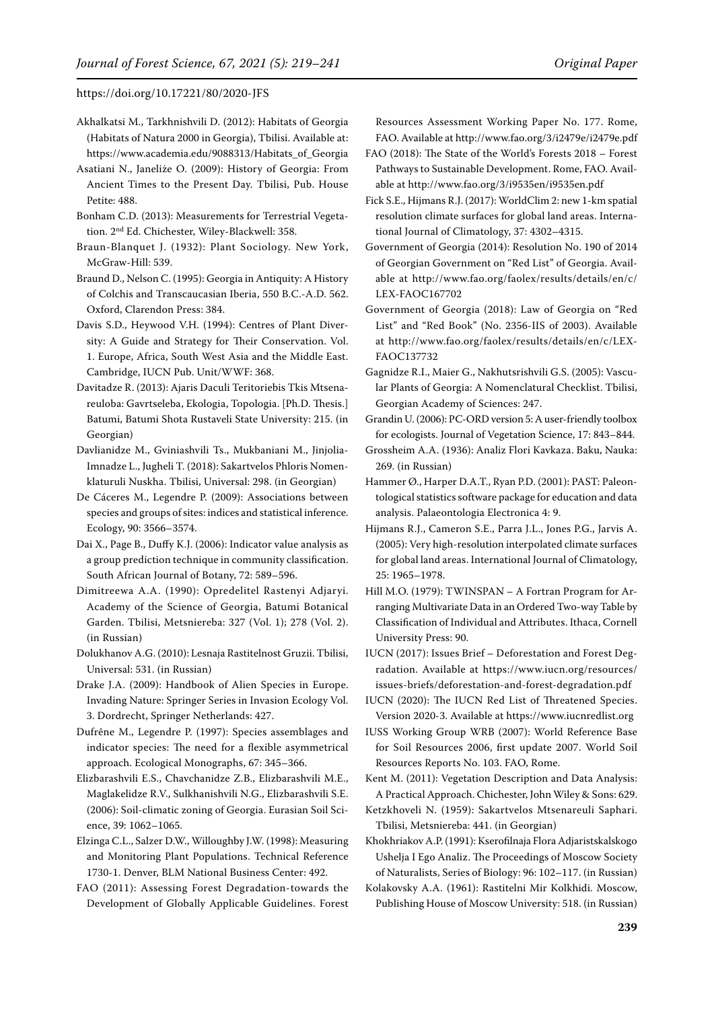- Akhalkatsi M., Tarkhnishvili D. (2012): Habitats of Georgia (Habitats of Natura 2000 in Georgia), Tbilisi. Available at: https://www.academia.edu/9088313/Habitats\_of\_Georgia
- Asatiani N., Janeliże O. (2009): History of Georgia: From Ancient Times to the Present Day. Tbilisi, Pub. House Petite: 488.
- Bonham C.D. (2013): Measurements for Terrestrial Vegetation. 2nd Ed. Chichester, Wiley-Blackwell: 358.
- Braun-Blanquet J. (1932): Plant Sociology. New York, McGraw-Hill: 539.
- Braund D., Nelson C. (1995): Georgia in Antiquity: A History of Colchis and Transcaucasian Iberia, 550 B.C.-A.D. 562. Oxford, Clarendon Press: 384.
- Davis S.D., Heywood V.H. (1994): Centres of Plant Diversity: A Guide and Strategy for Their Conservation. Vol. 1. Europe, Africa, South West Asia and the Middle East. Cambridge, IUCN Pub. Unit/WWF: 368.
- Davitadze R. (2013): Ajaris Daculi Teritoriebis Tkis Mtsenareuloba: Gavrtseleba, Ekologia, Topologia. [Ph.D. Thesis.] Batumi, Batumi Shota Rustaveli State University: 215. (in Georgian)
- Davlianidze M., Gviniashvili Ts., Mukbaniani M., Jinjolia-Imnadze L., Jugheli T. (2018): Sakartvelos Phloris Nomenklaturuli Nuskha. Tbilisi, Universal: 298. (in Georgian)
- De Cáceres M., Legendre P. (2009): Associations between species and groups of sites: indices and statistical inference. Ecology, 90: 3566–3574.
- Dai X., Page B., Duffy K.J. (2006): Indicator value analysis as a group prediction technique in community classification. South African Journal of Botany, 72: 589–596.
- Dimitreewa A.A. (1990): Opredelitel Rastenyi Adjaryi. Academy of the Science of Georgia, Batumi Botanical Garden. Tbilisi, Metsniereba: 327 (Vol. 1); 278 (Vol. 2). (in Russian)
- Dolukhanov A.G. (2010): Lesnaja Rastitelnost Gruzii. Tbilisi, Universal: 531. (in Russian)
- Drake J.A. (2009): Handbook of Alien Species in Europe. Invading Nature: Springer Series in Invasion Ecology Vol. 3. Dordrecht, Springer Netherlands: 427.
- Dufrêne M., Legendre P. (1997): Species assemblages and indicator species: The need for a flexible asymmetrical approach. Ecological Monographs, 67: 345–366.
- Elizbarashvili E.S., Chavchanidze Z.B., Elizbarashvili M.E., Maglakelidze R.V., Sulkhanishvili N.G., Elizbarashvili S.E. (2006): Soil-climatic zoning of Georgia. Eurasian Soil Science, 39: 1062–1065.
- Elzinga C.L., Salzer D.W., Willoughby J.W. (1998): Measuring and Monitoring Plant Populations. Technical Reference 1730-1. Denver, BLM National Business Center: 492.
- FAO (2011): Assessing Forest Degradation-towards the Development of Globally Applicable Guidelines. Forest

Resources Assessment Working Paper No. 177. Rome, FAO. Available at http://www.fao.org/3/i2479e/i2479e.pdf

- FAO (2018): The State of the World's Forests 2018 Forest Pathways to Sustainable Development. Rome, FAO. Available at http://www.fao.org/3/i9535en/i9535en.pdf
- Fick S.E., Hijmans R.J. (2017): WorldClim 2: new 1-km spatial resolution climate surfaces for global land areas. International Journal of Climatology, 37: 4302–4315.
- Government of Georgia (2014): Resolution No. 190 of 2014 of Georgian Government on "Red List" of Georgia. Available at http://www.fao.org/faolex/results/details/en/c/ LEX-FAOC167702
- Government of Georgia (2018): Law of Georgia on "Red List" and "Red Book" (No. 2356-IIS of 2003). Available at http://www.fao.org/faolex/results/details/en/c/LEX-FAOC137732
- Gagnidze R.I., Maier G., Nakhutsrishvili G.S. (2005): Vascular Plants of Georgia: A Nomenclatural Checklist. Tbilisi, Georgian Academy of Sciences: 247.
- Grandin U. (2006): PC-ORD version 5: A user-friendly toolbox for ecologists. Journal of Vegetation Science, 17: 843–844.
- Grossheim A.A. (1936): Analiz Flori Kavkaza. Baku, Nauka: 269. (in Russian)
- Hammer Ø., Harper D.A.T., Ryan P.D. (2001): PAST: Paleontological statistics software package for education and data analysis. Palaeontologia Electronica 4: 9.
- Hijmans R.J., Cameron S.E., Parra J.L., Jones P.G., Jarvis A. (2005): Very high-resolution interpolated climate surfaces for global land areas. International Journal of Climatology, 25: 1965–1978.
- Hill M.O. (1979): TWINSPAN A Fortran Program for Arranging Multivariate Data in an Ordered Two-way Table by Classification of Individual and Attributes. Ithaca, Cornell University Press: 90.
- IUCN (2017): Issues Brief Deforestation and Forest Degradation. Available at https://www.iucn.org/resources/ issues-briefs/deforestation-and-forest-degradation.pdf
- IUCN (2020): The IUCN Red List of Threatened Species. Version 2020-3. Available at https://www.iucnredlist.org
- IUSS Working Group WRB (2007): World Reference Base for Soil Resources 2006, first update 2007. World Soil Resources Reports No. 103. FAO, Rome.

Kent M. (2011): Vegetation Description and Data Analysis: A Practical Approach. Chichester, John Wiley & Sons: 629.

- Ketzkhoveli N. (1959): Sakartvelos Mtsenareuli Saphari. Tbilisi, Metsniereba: 441. (in Georgian)
- Khokhriakov A.P. (1991): Kserofilnaja Flora Adjaristskalskogo Ushelja I Ego Analiz. The Proceedings of Moscow Society of Naturalists, Series of Biology: 96: 102–117. (in Russian)
- Kolakovsky A.A. (1961): Rastitelni Mir Kolkhidi. Moscow, Publishing House of Moscow University: 518. (in Russian)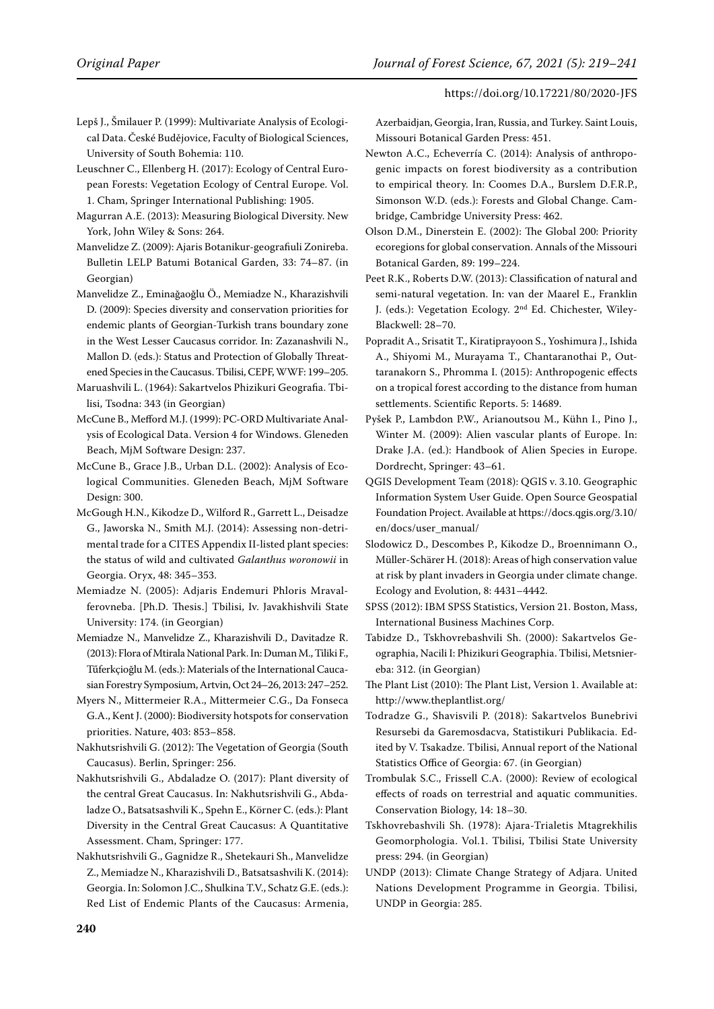- Lepš J., Šmilauer P. (1999): Multivariate Analysis of Ecological Data. České Budějovice, Faculty of Biological Sciences, University of South Bohemia: 110.
- Leuschner C., Ellenberg H. (2017): Ecology of Central European Forests: Vegetation Ecology of Central Europe. Vol. 1. Cham, Springer International Publishing: 1905.
- Magurran A.E. (2013): Measuring Biological Diversity. New York, John Wiley & Sons: 264.
- Manvelidze Z. (2009): Ajaris Botanikur-geografiuli Zonireba. Bulletin LELP Batumi Botanical Garden, 33: 74–87. (in Georgian)
- Manvelidze Z., Eminağaoğlu Ö., Memiadze N., Kharazishvili D. (2009): Species diversity and conservation priorities for endemic plants of Georgian-Turkish trans boundary zone in the West Lesser Caucasus corridor. In: Zazanashvili N., Mallon D. (eds.): Status and Protection of Globally Threatened Species in the Caucasus. Tbilisi, CEPF, WWF: 199–205.
- Maruashvili L. (1964): Sakartvelos Phizikuri Geografia. Tbilisi, Tsodna: 343 (in Georgian)
- McCune B., Mefford M.J. (1999): PC-ORD Multivariate Analysis of Ecological Data. Version 4 for Windows. Gleneden Beach, MjM Software Design: 237.
- McCune B., Grace J.B., Urban D.L. (2002): Analysis of Ecological Communities. Gleneden Beach, MjM Software Design: 300.
- McGough H.N., Kikodze D., Wilford R., Garrett L., Deisadze G., Jaworska N., Smith M.J. (2014): Assessing non-detrimental trade for a CITES Appendix II-listed plant species: the status of wild and cultivated *Galanthus woronowii* in Georgia. Oryx, 48: 345–353.
- Memiadze N. (2005): Adjaris Endemuri Phloris Mravalferovneba. [Ph.D. Thesis.] Tbilisi, Iv. Javakhishvili State University: 174. (in Georgian)
- Memiadze N., Manvelidze Z., Kharazishvili D., Davitadze R. (2013): Flora of Mtirala National Park. In: Duman M., Tiliki F., Tűferkçioğlu M. (eds.): Materials of the International Caucasian Forestry Symposium, Artvin, Oct 24–26, 2013: 247–252.
- Myers N., Mittermeier R.A., Mittermeier C.G., Da Fonseca G.A., Kent J. (2000): Biodiversity hotspots for conservation priorities. Nature, 403: 853–858.
- Nakhutsrishvili G. (2012): The Vegetation of Georgia (South Caucasus). Berlin, Springer: 256.
- Nakhutsrishvili G., Abdaladze O. (2017): Plant diversity of the central Great Caucasus. In: Nakhutsrishvili G., Abdaladze O., Batsatsashvili K., Spehn E., Körner C. (eds.): Plant Diversity in the Central Great Caucasus: A Quantitative Assessment. Cham, Springer: 177.
- Nakhutsrishvili G., Gagnidze R., Shetekauri Sh., Manvelidze Z., Memiadze N., Kharazishvili D., Batsatsashvili K. (2014): Georgia. In: Solomon J.C., Shulkina T.V., Schatz G.E. (eds.): Red List of Endemic Plants of the Caucasus: Armenia,

Azerbaidjan, Georgia, Iran, Russia, and Turkey. Saint Louis, Missouri Botanical Garden Press: 451.

- Newton A.C., Echeverría C. (2014): Analysis of anthropogenic impacts on forest biodiversity as a contribution to empirical theory. In: Coomes D.A., Burslem D.F.R.P., Simonson W.D. (eds.): Forests and Global Change. Cambridge, Cambridge University Press: 462.
- Olson D.M., Dinerstein E. (2002): The Global 200: Priority ecoregions for global conservation. Annals of the Missouri Botanical Garden, 89: 199–224.

Peet R.K., Roberts D.W. (2013): Classification of natural and semi-natural vegetation. In: van der Maarel E., Franklin J. (eds.): Vegetation Ecology. 2nd Ed. Chichester, Wiley-Blackwell: 28–70.

- Popradit A., Srisatit T., Kiratiprayoon S., Yoshimura J., Ishida A., Shiyomi M., Murayama T., Chantaranothai P., Outtaranakorn S., Phromma I. (2015): Anthropogenic effects on a tropical forest according to the distance from human settlements. Scientific Reports. 5: 14689.
- Pyšek P., Lambdon P.W., Arianoutsou M., Kühn I., Pino J., Winter M. (2009): Alien vascular plants of Europe. In: Drake J.A. (ed.): Handbook of Alien Species in Europe. Dordrecht, Springer: 43–61.
- QGIS Development Team (2018): QGIS v. 3.10. Geographic Information System User Guide. Open Source Geospatial Foundation Project. Available at https://docs.qgis.org/3.10/ en/docs/user\_manual/
- Slodowicz D., Descombes P., Kikodze D., Broennimann O., Müller-Schärer H. (2018): Areas of high conservation value at risk by plant invaders in Georgia under climate change. Ecology and Evolution, 8: 4431–4442.
- SPSS (2012): IBM SPSS Statistics, Version 21. Boston, Mass, International Business Machines Corp.
- Tabidze D., Tskhovrebashvili Sh. (2000): Sakartvelos Geographia, Nacili I: Phizikuri Geographia. Tbilisi, Metsniereba: 312. (in Georgian)
- The Plant List (2010): The Plant List, Version 1. Available at: http://www.theplantlist.org/
- Todradze G., Shavisvili P. (2018): Sakartvelos Bunebrivi Resursebi da Garemosdacva, Statistikuri Publikacia. Edited by V. Tsakadze. Tbilisi, Annual report of the National Statistics Office of Georgia: 67. (in Georgian)
- Trombulak S.C., Frissell C.A. (2000): Review of ecological effects of roads on terrestrial and aquatic communities. Conservation Biology, 14: 18–30.
- Tskhovrebashvili Sh. (1978): Ajara-Trialetis Mtagrekhilis Geomorphologia. Vol.1. Tbilisi, Tbilisi State University press: 294. (in Georgian)
- UNDP (2013): Climate Change Strategy of Adjara. United Nations Development Programme in Georgia. Tbilisi, UNDP in Georgia: 285.